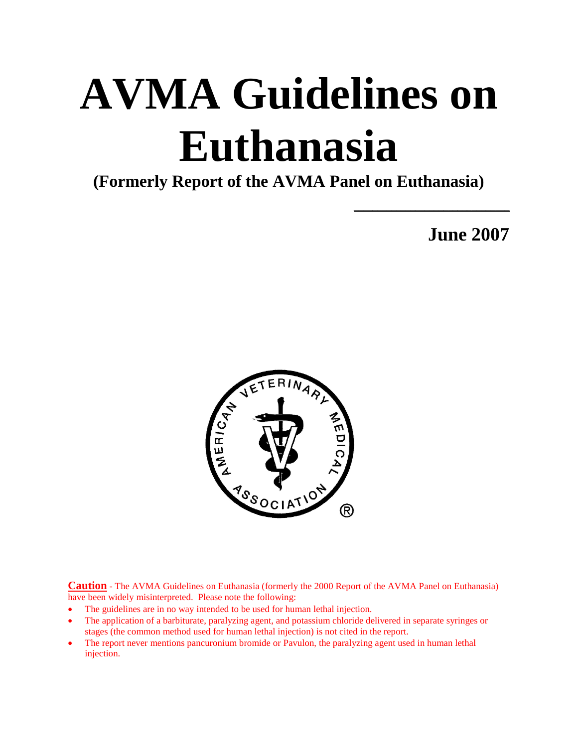# **AVMA Guidelines on Euthanasia**

## **(Formerly Report of the AVMA Panel on Euthanasia)**

**June 2007**

 $\mathcal{L}_\text{max}$  and  $\mathcal{L}_\text{max}$  and  $\mathcal{L}_\text{max}$  and  $\mathcal{L}_\text{max}$ 



**Caution** - The AVMA Guidelines on Euthanasia (formerly the 2000 Report of the AVMA Panel on Euthanasia) have been widely misinterpreted. Please note the following:

- The guidelines are in no way intended to be used for human lethal injection.
- The application of a barbiturate, paralyzing agent, and potassium chloride delivered in separate syringes or stages (the common method used for human lethal injection) is not cited in the report.
- The report never mentions pancuronium bromide or Pavulon, the paralyzing agent used in human lethal injection.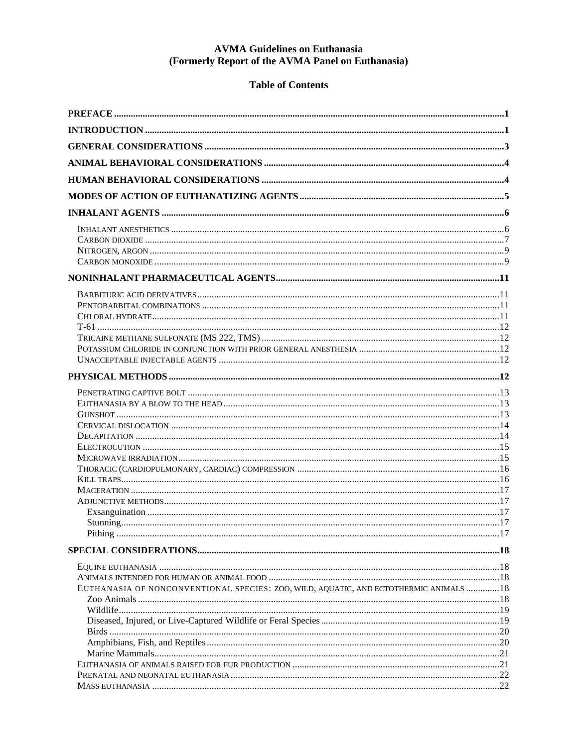## **AVMA Guidelines on Euthanasia** (Formerly Report of the AVMA Panel on Euthanasia)

## **Table of Contents**

| EUTHANASIA OF NONCONVENTIONAL SPECIES: ZOO, WILD, AQUATIC, AND ECTOTHERMIC ANIMALS 18 |  |
|---------------------------------------------------------------------------------------|--|
|                                                                                       |  |
|                                                                                       |  |
|                                                                                       |  |
|                                                                                       |  |
|                                                                                       |  |
|                                                                                       |  |
|                                                                                       |  |
|                                                                                       |  |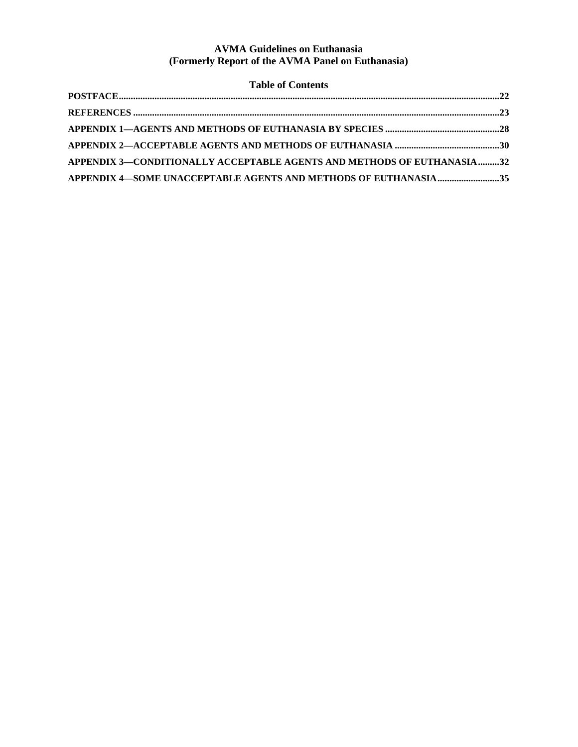## **AVMA Guidelines on Euthanasia (Formerly Report of the AVMA Panel on Euthanasia)**

## **Table of Contents**

| APPENDIX 3-CONDITIONALLY ACCEPTABLE AGENTS AND METHODS OF EUTHANASIA32 |  |
|------------------------------------------------------------------------|--|
| APPENDIX 4-SOME UNACCEPTABLE AGENTS AND METHODS OF EUTHANASIA 35       |  |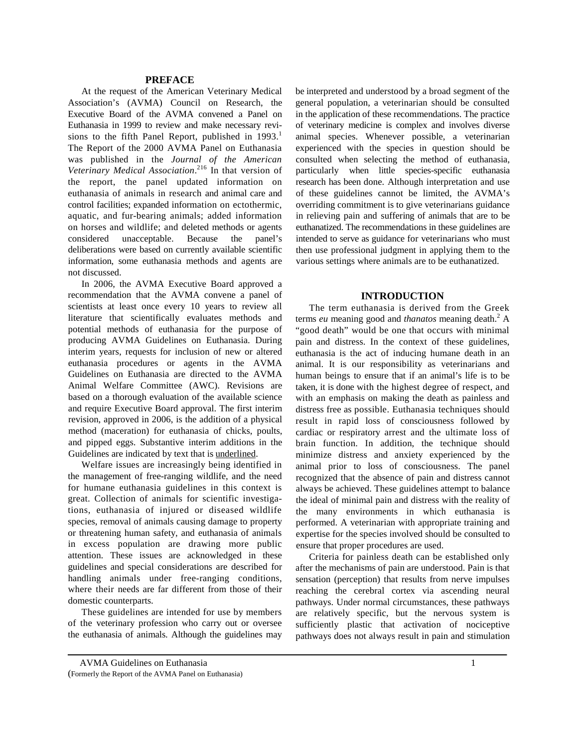#### <span id="page-3-0"></span>**PREFACE**

At the request of the American Veterinary Medical Association's (AVMA) Council on Research, the Executive Board of the AVMA convened a Panel on Euthanasia in 1999 to review and make necessary revisions to the fifth Panel Report, published in  $1993$ <sup>1</sup>. The Report of the 2000 AVMA Panel on Euthanasia was published in the *Journal of the American Veterinary Medical Association*. 216 In that version of the report, the panel updated information on euthanasia of animals in research and animal care and control facilities; expanded information on ectothermic, aquatic, and fur-bearing animals; added information on horses and wildlife; and deleted methods or agents considered unacceptable. Because the panel's deliberations were based on currently available scientific information, some euthanasia methods and agents are not discussed.

In 2006, the AVMA Executive Board approved a recommendation that the AVMA convene a panel of scientists at least once every 10 years to review all literature that scientifically evaluates methods and potential methods of euthanasia for the purpose of producing AVMA Guidelines on Euthanasia. During interim years, requests for inclusion of new or altered euthanasia procedures or agents in the AVMA Guidelines on Euthanasia are directed to the AVMA Animal Welfare Committee (AWC). Revisions are based on a thorough evaluation of the available science and require Executive Board approval. The first interim revision, approved in 2006, is the addition of a physical method (maceration) for euthanasia of chicks, poults, and pipped eggs. Substantive interim additions in the Guidelines are indicated by text that is underlined.

Welfare issues are increasingly being identified in the management of free-ranging wildlife, and the need for humane euthanasia guidelines in this context is great. Collection of animals for scientific investigations, euthanasia of injured or diseased wildlife species, removal of animals causing damage to property or threatening human safety, and euthanasia of animals in excess population are drawing more public attention. These issues are acknowledged in these guidelines and special considerations are described for handling animals under free-ranging conditions, where their needs are far different from those of their domestic counterparts.

These guidelines are intended for use by members of the veterinary profession who carry out or oversee the euthanasia of animals. Although the guidelines may be interpreted and understood by a broad segment of the general population, a veterinarian should be consulted in the application of these recommendations. The practice of veterinary medicine is complex and involves diverse animal species. Whenever possible, a veterinarian experienced with the species in question should be consulted when selecting the method of euthanasia, particularly when little species-specific euthanasia research has been done. Although interpretation and use of these guidelines cannot be limited, the AVMA's overriding commitment is to give veterinarians guidance in relieving pain and suffering of animals that are to be euthanatized. The recommendations in these guidelines are intended to serve as guidance for veterinarians who must then use professional judgment in applying them to the various settings where animals are to be euthanatized.

#### <span id="page-3-1"></span>**INTRODUCTION**

The term euthanasia is derived from the Greek terms *eu* meaning good and *thanatos* meaning death. 2 A "good death" would be one that occurs with minimal pain and distress. In the context of these guidelines, euthanasia is the act of inducing humane death in an animal. It is our responsibility as veterinarians and human beings to ensure that if an animal's life is to be taken, it is done with the highest degree of respect, and with an emphasis on making the death as painless and distress free as possible. Euthanasia techniques should result in rapid loss of consciousness followed by cardiac or respiratory arrest and the ultimate loss of brain function. In addition, the technique should minimize distress and anxiety experienced by the animal prior to loss of consciousness. The panel recognized that the absence of pain and distress cannot always be achieved. These guidelines attempt to balance the ideal of minimal pain and distress with the reality of the many environments in which euthanasia is performed. A veterinarian with appropriate training and expertise for the species involved should be consulted to ensure that proper procedures are used.

Criteria for painless death can be established only after the mechanisms of pain are understood. Pain is that sensation (perception) that results from nerve impulses reaching the cerebral cortex via ascending neural pathways. Under normal circumstances, these pathways are relatively specific, but the nervous system is sufficiently plastic that activation of nociceptive pathways does not always result in pain and stimulation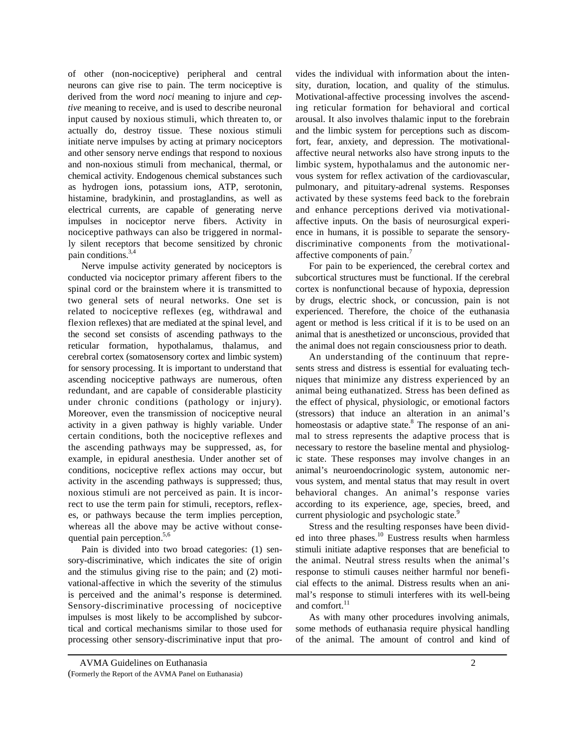of other (non-nociceptive) peripheral and central neurons can give rise to pain. The term nociceptive is derived from the word *noci* meaning to injure and *ceptive* meaning to receive, and is used to describe neuronal input caused by noxious stimuli, which threaten to, or actually do, destroy tissue. These noxious stimuli initiate nerve impulses by acting at primary nociceptors and other sensory nerve endings that respond to noxious and non-noxious stimuli from mechanical, thermal, or chemical activity. Endogenous chemical substances such as hydrogen ions, potassium ions, ATP, serotonin, histamine, bradykinin, and prostaglandins, as well as electrical currents, are capable of generating nerve impulses in nociceptor nerve fibers. Activity in nociceptive pathways can also be triggered in normally silent receptors that become sensitized by chronic pain conditions. 3,4

Nerve impulse activity generated by nociceptors is conducted via nociceptor primary afferent fibers to the spinal cord or the brainstem where it is transmitted to two general sets of neural networks. One set is related to nociceptive reflexes (eg, withdrawal and flexion reflexes) that are mediated at the spinal level, and the second set consists of ascending pathways to the reticular formation, hypothalamus, thalamus, and cerebral cortex (somatosensory cortex and limbic system) for sensory processing. It is important to understand that ascending nociceptive pathways are numerous, often redundant, and are capable of considerable plasticity under chronic conditions (pathology or injury). Moreover, even the transmission of nociceptive neural activity in a given pathway is highly variable. Under certain conditions, both the nociceptive reflexes and the ascending pathways may be suppressed, as, for example, in epidural anesthesia. Under another set of conditions, nociceptive reflex actions may occur, but activity in the ascending pathways is suppressed; thus, noxious stimuli are not perceived as pain. It is incorrect to use the term pain for stimuli, receptors, reflexes, or pathways because the term implies perception, whereas all the above may be active without consequential pain perception.<sup>5,6</sup>

Pain is divided into two broad categories: (1) sensory-discriminative, which indicates the site of origin and the stimulus giving rise to the pain; and (2) motivational-affective in which the severity of the stimulus is perceived and the animal's response is determined. Sensory-discriminative processing of nociceptive impulses is most likely to be accomplished by subcortical and cortical mechanisms similar to those used for processing other sensory-discriminative input that provides the individual with information about the intensity, duration, location, and quality of the stimulus. Motivational-affective processing involves the ascending reticular formation for behavioral and cortical arousal. It also involves thalamic input to the forebrain and the limbic system for perceptions such as discomfort, fear, anxiety, and depression. The motivationalaffective neural networks also have strong inputs to the limbic system, hypothalamus and the autonomic nervous system for reflex activation of the cardiovascular, pulmonary, and pituitary-adrenal systems. Responses activated by these systems feed back to the forebrain and enhance perceptions derived via motivationalaffective inputs. On the basis of neurosurgical experience in humans, it is possible to separate the sensorydiscriminative components from the motivationalaffective components of pain.<sup>7</sup>

For pain to be experienced, the cerebral cortex and subcortical structures must be functional. If the cerebral cortex is nonfunctional because of hypoxia, depression by drugs, electric shock, or concussion, pain is not experienced. Therefore, the choice of the euthanasia agent or method is less critical if it is to be used on an animal that is anesthetized or unconscious, provided that the animal does not regain consciousness prior to death.

An understanding of the continuum that represents stress and distress is essential for evaluating techniques that minimize any distress experienced by an animal being euthanatized. Stress has been defined as the effect of physical, physiologic, or emotional factors (stressors) that induce an alteration in an animal's homeostasis or adaptive state.<sup>8</sup> The response of an animal to stress represents the adaptive process that is necessary to restore the baseline mental and physiologic state. These responses may involve changes in an animal's neuroendocrinologic system, autonomic nervous system, and mental status that may result in overt behavioral changes. An animal's response varies according to its experience, age, species, breed, and current physiologic and psychologic state.<sup>9</sup>

Stress and the resulting responses have been divided into three phases.<sup>10</sup> Eustress results when harmless stimuli initiate adaptive responses that are beneficial to the animal. Neutral stress results when the animal's response to stimuli causes neither harmful nor beneficial effects to the animal. Distress results when an animal's response to stimuli interferes with its well-being and comfort. $^{11}$ 

As with many other procedures involving animals, some methods of euthanasia require physical handling of the animal. The amount of control and kind of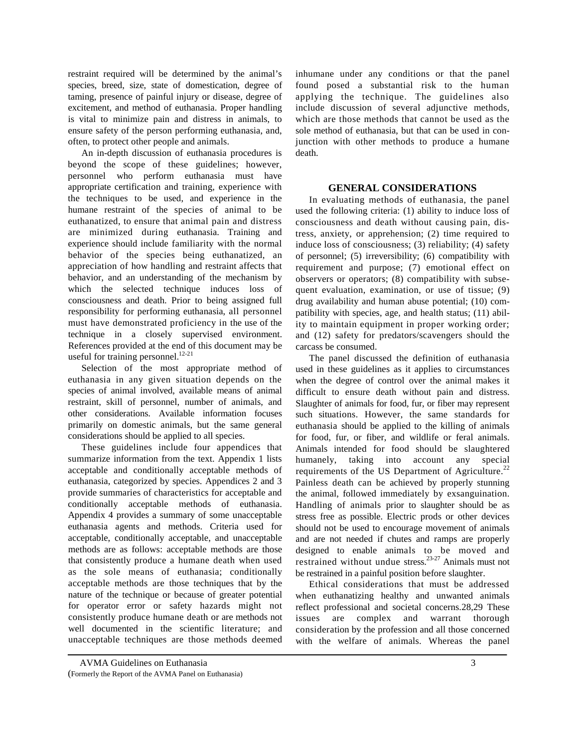restraint required will be determined by the animal's species, breed, size, state of domestication, degree of taming, presence of painful injury or disease, degree of excitement, and method of euthanasia. Proper handling is vital to minimize pain and distress in animals, to ensure safety of the person performing euthanasia, and, often, to protect other people and animals.

An in-depth discussion of euthanasia procedures is beyond the scope of these guidelines; however, personnel who perform euthanasia must have appropriate certification and training, experience with the techniques to be used, and experience in the humane restraint of the species of animal to be euthanatized, to ensure that animal pain and distress are minimized during euthanasia. Training and experience should include familiarity with the normal behavior of the species being euthanatized, an appreciation of how handling and restraint affects that behavior, and an understanding of the mechanism by which the selected technique induces loss of consciousness and death. Prior to being assigned full responsibility for performing euthanasia, all personnel must have demonstrated proficiency in the use of the technique in a closely supervised environment. References provided at the end of this document may be useful for training personnel. $1^{12-21}$ 

Selection of the most appropriate method of euthanasia in any given situation depends on the species of animal involved, available means of animal restraint, skill of personnel, number of animals, and other considerations. Available information focuses primarily on domestic animals, but the same general considerations should be applied to all species.

These guidelines include four appendices that summarize information from the text. Appendix 1 lists acceptable and conditionally acceptable methods of euthanasia, categorized by species. Appendices 2 and 3 provide summaries of characteristics for acceptable and conditionally acceptable methods of euthanasia. Appendix 4 provides a summary of some unacceptable euthanasia agents and methods. Criteria used for acceptable, conditionally acceptable, and unacceptable methods are as follows: acceptable methods are those that consistently produce a humane death when used as the sole means of euthanasia; conditionally acceptable methods are those techniques that by the nature of the technique or because of greater potential for operator error or safety hazards might not consistently produce humane death or are methods not well documented in the scientific literature; and unacceptable techniques are those methods deemed inhumane under any conditions or that the panel found posed a substantial risk to the human applying the technique. The guidelines also include discussion of several adjunctive methods, which are those methods that cannot be used as the sole method of euthanasia, but that can be used in conjunction with other methods to produce a humane death.

#### <span id="page-5-0"></span>**GENERAL CONSIDERATIONS**

In evaluating methods of euthanasia, the panel used the following criteria: (1) ability to induce loss of consciousness and death without causing pain, distress, anxiety, or apprehension; (2) time required to induce loss of consciousness; (3) reliability; (4) safety of personnel; (5) irreversibility; (6) compatibility with requirement and purpose; (7) emotional effect on observers or operators; (8) compatibility with subsequent evaluation, examination, or use of tissue; (9) drug availability and human abuse potential; (10) compatibility with species, age, and health status; (11) ability to maintain equipment in proper working order; and (12) safety for predators/scavengers should the carcass be consumed.

The panel discussed the definition of euthanasia used in these guidelines as it applies to circumstances when the degree of control over the animal makes it difficult to ensure death without pain and distress. Slaughter of animals for food, fur, or fiber may represent such situations. However, the same standards for euthanasia should be applied to the killing of animals for food, fur, or fiber, and wildlife or feral animals. Animals intended for food should be slaughtered humanely, taking into account any special requirements of the US Department of Agriculture. $^{22}$ Painless death can be achieved by properly stunning the animal, followed immediately by exsanguination. Handling of animals prior to slaughter should be as stress free as possible. Electric prods or other devices should not be used to encourage movement of animals and are not needed if chutes and ramps are properly designed to enable animals to be moved and restrained without undue stress.<sup>23-27</sup> Animals must not be restrained in a painful position before slaughter.

Ethical considerations that must be addressed when euthanatizing healthy and unwanted animals reflect professional and societal concerns.28,29 These issues are complex and warrant thorough consideration by the profession and all those concerned with the welfare of animals. Whereas the panel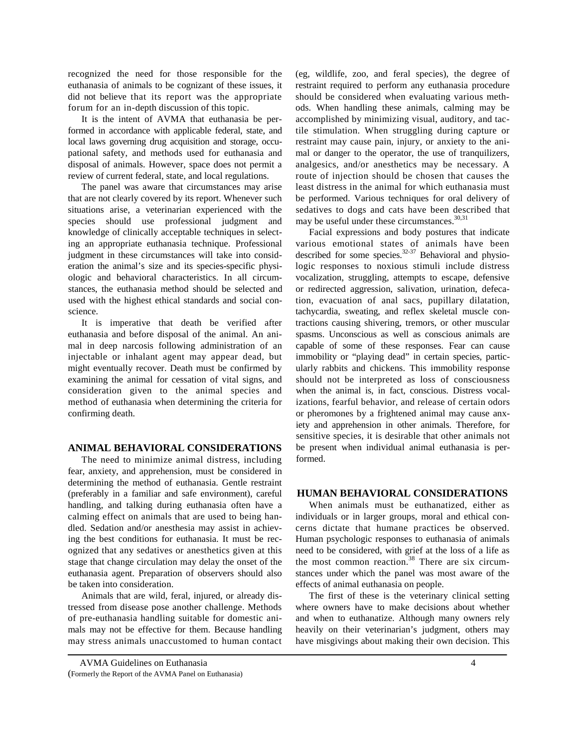recognized the need for those responsible for the euthanasia of animals to be cognizant of these issues, it did not believe that its report was the appropriate forum for an in-depth discussion of this topic.

It is the intent of AVMA that euthanasia be performed in accordance with applicable federal, state, and local laws governing drug acquisition and storage, occupational safety, and methods used for euthanasia and disposal of animals. However, space does not permit a review of current federal, state, and local regulations.

The panel was aware that circumstances may arise that are not clearly covered by its report. Whenever such situations arise, a veterinarian experienced with the species should use professional judgment and knowledge of clinically acceptable techniques in selecting an appropriate euthanasia technique. Professional judgment in these circumstances will take into consideration the animal's size and its species-specific physiologic and behavioral characteristics. In all circumstances, the euthanasia method should be selected and used with the highest ethical standards and social conscience.

It is imperative that death be verified after euthanasia and before disposal of the animal. An animal in deep narcosis following administration of an injectable or inhalant agent may appear dead, but might eventually recover. Death must be confirmed by examining the animal for cessation of vital signs, and consideration given to the animal species and method of euthanasia when determining the criteria for confirming death.

#### <span id="page-6-0"></span>**ANIMAL BEHAVIORAL CONSIDERATIONS**

The need to minimize animal distress, including fear, anxiety, and apprehension, must be considered in determining the method of euthanasia. Gentle restraint (preferably in a familiar and safe environment), careful handling, and talking during euthanasia often have a calming effect on animals that are used to being handled. Sedation and/or anesthesia may assist in achieving the best conditions for euthanasia. It must be recognized that any sedatives or anesthetics given at this stage that change circulation may delay the onset of the euthanasia agent. Preparation of observers should also be taken into consideration.

Animals that are wild, feral, injured, or already distressed from disease pose another challenge. Methods of pre-euthanasia handling suitable for domestic animals may not be effective for them. Because handling may stress animals unaccustomed to human contact (eg, wildlife, zoo, and feral species), the degree of restraint required to perform any euthanasia procedure should be considered when evaluating various methods. When handling these animals, calming may be accomplished by minimizing visual, auditory, and tactile stimulation. When struggling during capture or restraint may cause pain, injury, or anxiety to the animal or danger to the operator, the use of tranquilizers, analgesics, and/or anesthetics may be necessary. A route of injection should be chosen that causes the least distress in the animal for which euthanasia must be performed. Various techniques for oral delivery of sedatives to dogs and cats have been described that may be useful under these circumstances. 30,31

Facial expressions and body postures that indicate various emotional states of animals have been described for some species.<sup>32-37</sup> Behavioral and physiologic responses to noxious stimuli include distress vocalization, struggling, attempts to escape, defensive or redirected aggression, salivation, urination, defecation, evacuation of anal sacs, pupillary dilatation, tachycardia, sweating, and reflex skeletal muscle contractions causing shivering, tremors, or other muscular spasms. Unconscious as well as conscious animals are capable of some of these responses. Fear can cause immobility or "playing dead" in certain species, particularly rabbits and chickens. This immobility response should not be interpreted as loss of consciousness when the animal is, in fact, conscious. Distress vocalizations, fearful behavior, and release of certain odors or pheromones by a frightened animal may cause anxiety and apprehension in other animals. Therefore, for sensitive species, it is desirable that other animals not be present when individual animal euthanasia is performed.

#### <span id="page-6-1"></span>**HUMAN BEHAVIORAL CONSIDERATIONS**

When animals must be euthanatized, either as individuals or in larger groups, moral and ethical concerns dictate that humane practices be observed. Human psychologic responses to euthanasia of animals need to be considered, with grief at the loss of a life as the most common reaction. 38 There are six circumstances under which the panel was most aware of the effects of animal euthanasia on people.

The first of these is the veterinary clinical setting where owners have to make decisions about whether and when to euthanatize. Although many owners rely heavily on their veterinarian's judgment, others may have misgivings about making their own decision. This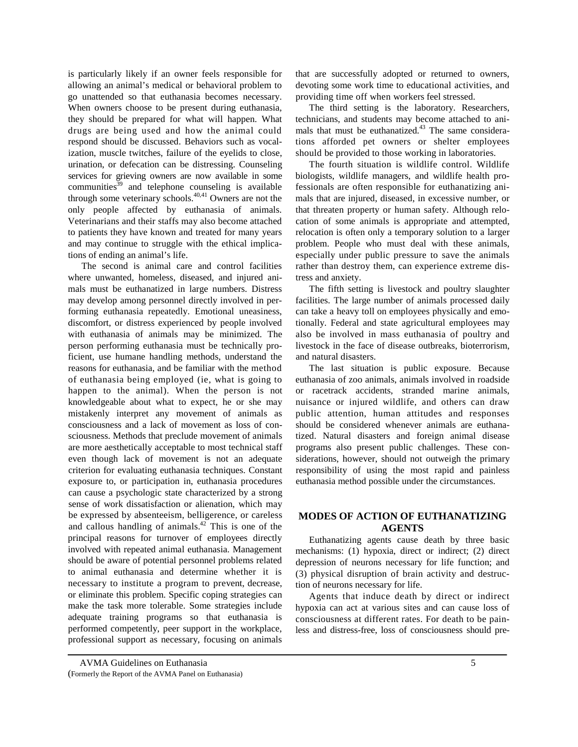is particularly likely if an owner feels responsible for allowing an animal's medical or behavioral problem to go unattended so that euthanasia becomes necessary. When owners choose to be present during euthanasia, they should be prepared for what will happen. What drugs are being used and how the animal could respond should be discussed. Behaviors such as vocalization, muscle twitches, failure of the eyelids to close, urination, or defecation can be distressing. Counseling services for grieving owners are now available in some communities $\frac{39}{9}$  and telephone counseling is available through some veterinary schools. $40,41$  Owners are not the only people affected by euthanasia of animals. Veterinarians and their staffs may also become attached to patients they have known and treated for many years and may continue to struggle with the ethical implications of ending an animal's life.

The second is animal care and control facilities where unwanted, homeless, diseased, and injured animals must be euthanatized in large numbers. Distress may develop among personnel directly involved in performing euthanasia repeatedly. Emotional uneasiness, discomfort, or distress experienced by people involved with euthanasia of animals may be minimized. The person performing euthanasia must be technically proficient, use humane handling methods, understand the reasons for euthanasia, and be familiar with the method of euthanasia being employed (ie, what is going to happen to the animal). When the person is not knowledgeable about what to expect, he or she may mistakenly interpret any movement of animals as consciousness and a lack of movement as loss of consciousness. Methods that preclude movement of animals are more aesthetically acceptable to most technical staff even though lack of movement is not an adequate criterion for evaluating euthanasia techniques. Constant exposure to, or participation in, euthanasia procedures can cause a psychologic state characterized by a strong sense of work dissatisfaction or alienation, which may be expressed by absenteeism, belligerence, or careless and callous handling of animals. $42$  This is one of the principal reasons for turnover of employees directly involved with repeated animal euthanasia. Management should be aware of potential personnel problems related to animal euthanasia and determine whether it is necessary to institute a program to prevent, decrease, or eliminate this problem. Specific coping strategies can make the task more tolerable. Some strategies include adequate training programs so that euthanasia is performed competently, peer support in the workplace, professional support as necessary, focusing on animals

that are successfully adopted or returned to owners, devoting some work time to educational activities, and providing time off when workers feel stressed.

The third setting is the laboratory. Researchers, technicians, and students may become attached to animals that must be euthanatized.<sup>43</sup> The same considerations afforded pet owners or shelter employees should be provided to those working in laboratories.

The fourth situation is wildlife control. Wildlife biologists, wildlife managers, and wildlife health professionals are often responsible for euthanatizing animals that are injured, diseased, in excessive number, or that threaten property or human safety. Although relocation of some animals is appropriate and attempted, relocation is often only a temporary solution to a larger problem. People who must deal with these animals, especially under public pressure to save the animals rather than destroy them, can experience extreme distress and anxiety.

The fifth setting is livestock and poultry slaughter facilities. The large number of animals processed daily can take a heavy toll on employees physically and emotionally. Federal and state agricultural employees may also be involved in mass euthanasia of poultry and livestock in the face of disease outbreaks, bioterrorism, and natural disasters.

The last situation is public exposure. Because euthanasia of zoo animals, animals involved in roadside or racetrack accidents, stranded marine animals, nuisance or injured wildlife, and others can draw public attention, human attitudes and responses should be considered whenever animals are euthanatized. Natural disasters and foreign animal disease programs also present public challenges. These considerations, however, should not outweigh the primary responsibility of using the most rapid and painless euthanasia method possible under the circumstances.

#### <span id="page-7-0"></span>**MODES OF ACTION OF EUTHANATIZING AGENTS**

Euthanatizing agents cause death by three basic mechanisms: (1) hypoxia, direct or indirect; (2) direct depression of neurons necessary for life function; and (3) physical disruption of brain activity and destruction of neurons necessary for life.

Agents that induce death by direct or indirect hypoxia can act at various sites and can cause loss of consciousness at different rates. For death to be painless and distress-free, loss of consciousness should pre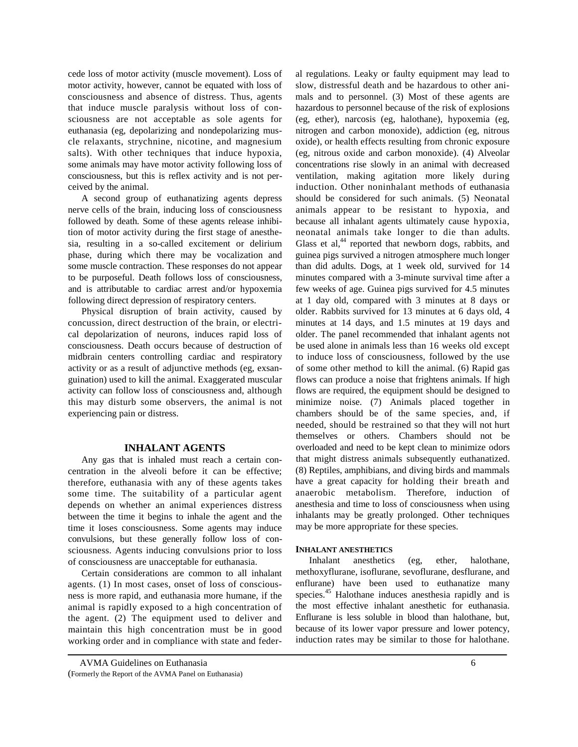cede loss of motor activity (muscle movement). Loss of motor activity, however, cannot be equated with loss of consciousness and absence of distress. Thus, agents that induce muscle paralysis without loss of consciousness are not acceptable as sole agents for euthanasia (eg, depolarizing and nondepolarizing muscle relaxants, strychnine, nicotine, and magnesium salts). With other techniques that induce hypoxia, some animals may have motor activity following loss of consciousness, but this is reflex activity and is not perceived by the animal.

A second group of euthanatizing agents depress nerve cells of the brain, inducing loss of consciousness followed by death. Some of these agents release inhibition of motor activity during the first stage of anesthesia, resulting in a so-called excitement or delirium phase, during which there may be vocalization and some muscle contraction. These responses do not appear to be purposeful. Death follows loss of consciousness, and is attributable to cardiac arrest and/or hypoxemia following direct depression of respiratory centers.

Physical disruption of brain activity, caused by concussion, direct destruction of the brain, or electrical depolarization of neurons, induces rapid loss of consciousness. Death occurs because of destruction of midbrain centers controlling cardiac and respiratory activity or as a result of adjunctive methods (eg, exsanguination) used to kill the animal. Exaggerated muscular activity can follow loss of consciousness and, although this may disturb some observers, the animal is not experiencing pain or distress.

#### <span id="page-8-0"></span>**INHALANT AGENTS**

Any gas that is inhaled must reach a certain concentration in the alveoli before it can be effective; therefore, euthanasia with any of these agents takes some time. The suitability of a particular agent depends on whether an animal experiences distress between the time it begins to inhale the agent and the time it loses consciousness. Some agents may induce convulsions, but these generally follow loss of consciousness. Agents inducing convulsions prior to loss of consciousness are unacceptable for euthanasia.

Certain considerations are common to all inhalant agents. (1) In most cases, onset of loss of consciousness is more rapid, and euthanasia more humane, if the animal is rapidly exposed to a high concentration of the agent. (2) The equipment used to deliver and maintain this high concentration must be in good working order and in compliance with state and federal regulations. Leaky or faulty equipment may lead to slow, distressful death and be hazardous to other animals and to personnel. (3) Most of these agents are hazardous to personnel because of the risk of explosions (eg, ether), narcosis (eg, halothane), hypoxemia (eg, nitrogen and carbon monoxide), addiction (eg, nitrous oxide), or health effects resulting from chronic exposure (eg, nitrous oxide and carbon monoxide). (4) Alveolar concentrations rise slowly in an animal with decreased ventilation, making agitation more likely during induction. Other noninhalant methods of euthanasia should be considered for such animals. (5) Neonatal animals appear to be resistant to hypoxia, and because all inhalant agents ultimately cause hypoxia, neonatal animals take longer to die than adults. Glass et al, $44$  reported that newborn dogs, rabbits, and guinea pigs survived a nitrogen atmosphere much longer than did adults. Dogs, at 1 week old, survived for 14 minutes compared with a 3-minute survival time after a few weeks of age. Guinea pigs survived for 4.5 minutes at 1 day old, compared with 3 minutes at 8 days or older. Rabbits survived for 13 minutes at 6 days old, 4 minutes at 14 days, and 1.5 minutes at 19 days and older. The panel recommended that inhalant agents not be used alone in animals less than 16 weeks old except to induce loss of consciousness, followed by the use of some other method to kill the animal. (6) Rapid gas flows can produce a noise that frightens animals. If high flows are required, the equipment should be designed to minimize noise. (7) Animals placed together in chambers should be of the same species, and, if needed, should be restrained so that they will not hurt themselves or others. Chambers should not be overloaded and need to be kept clean to minimize odors that might distress animals subsequently euthanatized. (8) Reptiles, amphibians, and diving birds and mammals have a great capacity for holding their breath and anaerobic metabolism. Therefore, induction of

## <span id="page-8-1"></span>may be more appropriate for these species. **INHALANT ANESTHETICS**

Inhalant anesthetics (eg, ether, halothane, methoxyflurane, isoflurane, sevoflurane, desflurane, and enflurane) have been used to euthanatize many species.<sup>45</sup> Halothane induces anesthesia rapidly and is the most effective inhalant anesthetic for euthanasia. Enflurane is less soluble in blood than halothane, but, because of its lower vapor pressure and lower potency, induction rates may be similar to those for halothane.

anesthesia and time to loss of consciousness when using inhalants may be greatly prolonged. Other techniques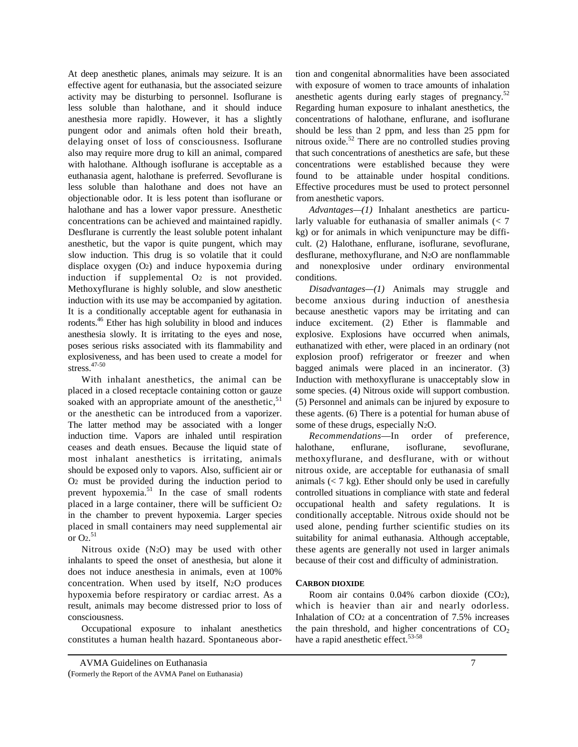At deep anesthetic planes, animals may seizure. It is an effective agent for euthanasia, but the associated seizure activity may be disturbing to personnel. Isoflurane is less soluble than halothane, and it should induce anesthesia more rapidly. However, it has a slightly pungent odor and animals often hold their breath, delaying onset of loss of consciousness. Isoflurane also may require more drug to kill an animal, compared with halothane. Although isoflurane is acceptable as a euthanasia agent, halothane is preferred. Sevoflurane is less soluble than halothane and does not have an objectionable odor. It is less potent than isoflurane or halothane and has a lower vapor pressure. Anesthetic concentrations can be achieved and maintained rapidly. Desflurane is currently the least soluble potent inhalant anesthetic, but the vapor is quite pungent, which may slow induction. This drug is so volatile that it could displace oxygen (O2) and induce hypoxemia during induction if supplemental O<sub>2</sub> is not provided. Methoxyflurane is highly soluble, and slow anesthetic induction with its use may be accompanied by agitation. It is a conditionally acceptable agent for euthanasia in rodents. 46 Ether has high solubility in blood and induces anesthesia slowly. It is irritating to the eyes and nose, poses serious risks associated with its flammability and explosiveness, and has been used to create a model for stress. 47-50

With inhalant anesthetics, the animal can be placed in a closed receptacle containing cotton or gauze soaked with an appropriate amount of the anesthetic,<sup>51</sup> or the anesthetic can be introduced from a vaporizer. The latter method may be associated with a longer induction time. Vapors are inhaled until respiration ceases and death ensues. Because the liquid state of most inhalant anesthetics is irritating, animals should be exposed only to vapors. Also, sufficient air or O2 must be provided during the induction period to prevent hypoxemia.<sup>51</sup> In the case of small rodents placed in a large container, there will be sufficient O2 in the chamber to prevent hypoxemia. Larger species placed in small containers may need supplemental air or  $O<sub>2</sub>$ .<sup>51</sup>

Nitrous oxide (N2O) may be used with other inhalants to speed the onset of anesthesia, but alone it does not induce anesthesia in animals, even at 100% concentration. When used by itself, N2O produces hypoxemia before respiratory or cardiac arrest. As a result, animals may become distressed prior to loss of consciousness.

Occupational exposure to inhalant anesthetics constitutes a human health hazard. Spontaneous abortion and congenital abnormalities have been associated with exposure of women to trace amounts of inhalation anesthetic agents during early stages of pregnancy.<sup>52</sup> Regarding human exposure to inhalant anesthetics, the concentrations of halothane, enflurane, and isoflurane should be less than 2 ppm, and less than 25 ppm for nitrous oxide. 52 There are no controlled studies proving that such concentrations of anesthetics are safe, but these concentrations were established because they were found to be attainable under hospital conditions. Effective procedures must be used to protect personnel from anesthetic vapors.

*Advantages—(1)* Inhalant anesthetics are particularly valuable for euthanasia of smaller animals (< 7 kg) or for animals in which venipuncture may be difficult. (2) Halothane, enflurane, isoflurane, sevoflurane, desflurane, methoxyflurane, and N2O are nonflammable and nonexplosive under ordinary environmental conditions.

*Disadvantages—(1)* Animals may struggle and become anxious during induction of anesthesia because anesthetic vapors may be irritating and can induce excitement. (2) Ether is flammable and explosive. Explosions have occurred when animals, euthanatized with ether, were placed in an ordinary (not explosion proof) refrigerator or freezer and when bagged animals were placed in an incinerator. (3) Induction with methoxyflurane is unacceptably slow in some species. (4) Nitrous oxide will support combustion. (5) Personnel and animals can be injured by exposure to these agents. (6) There is a potential for human abuse of some of these drugs, especially N2O.

*Recommendations*—In order of preference, halothane, enflurane, isoflurane, sevoflurane, methoxyflurane, and desflurane, with or without nitrous oxide, are acceptable for euthanasia of small animals  $(< 7 \text{ kg})$ . Ether should only be used in carefully controlled situations in compliance with state and federal occupational health and safety regulations. It is conditionally acceptable. Nitrous oxide should not be used alone, pending further scientific studies on its suitability for animal euthanasia. Although acceptable, these agents are generally not used in larger animals because of their cost and difficulty of administration.

#### <span id="page-9-0"></span>**CARBON DIOXIDE**

Room air contains 0.04% carbon dioxide (CO2), which is heavier than air and nearly odorless. Inhalation of CO2 at a concentration of 7.5% increases the pain threshold, and higher concentrations of  $CO<sub>2</sub>$ have a rapid anesthetic effect.<sup>53-58</sup>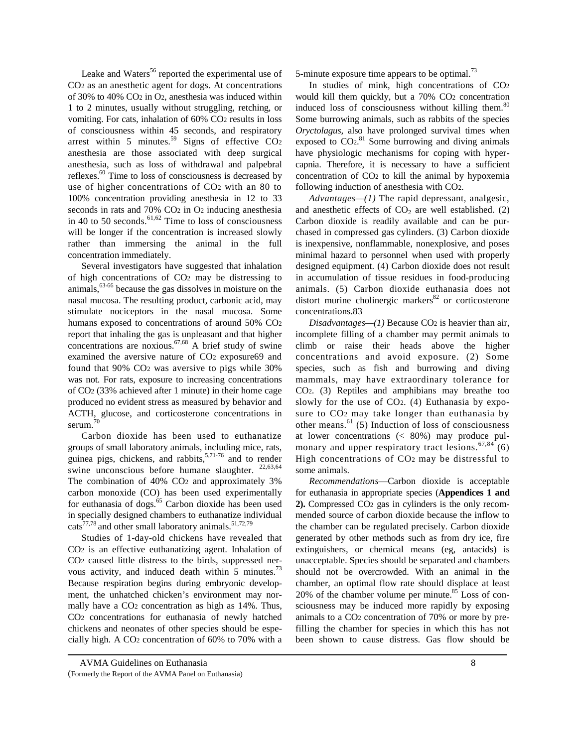Leake and Waters<sup>56</sup> reported the experimental use of CO2 as an anesthetic agent for dogs. At concentrations of 30% to 40% CO2 in O2, anesthesia was induced within 1 to 2 minutes, usually without struggling, retching, or vomiting. For cats, inhalation of 60% CO2 results in loss of consciousness within 45 seconds, and respiratory arrest within 5 minutes.<sup>59</sup> Signs of effective  $CO<sub>2</sub>$ anesthesia are those associated with deep surgical anesthesia, such as loss of withdrawal and palpebral reflexes.<sup>60</sup> Time to loss of consciousness is decreased by use of higher concentrations of CO2 with an 80 to 100% concentration providing anesthesia in 12 to 33 seconds in rats and 70% CO2 in O2 inducing anesthesia in 40 to 50 seconds.  $61,62$  Time to loss of consciousness will be longer if the concentration is increased slowly rather than immersing the animal in the full concentration immediately.

Several investigators have suggested that inhalation of high concentrations of CO2 may be distressing to animals, <sup>63-66</sup> because the gas dissolves in moisture on the nasal mucosa. The resulting product, carbonic acid, may stimulate nociceptors in the nasal mucosa. Some humans exposed to concentrations of around 50% CO2 report that inhaling the gas is unpleasant and that higher concentrations are noxious.<sup>67,68</sup> A brief study of swine examined the aversive nature of CO2 exposure69 and found that 90% CO2 was aversive to pigs while 30% was not. For rats, exposure to increasing concentrations of CO2 (33% achieved after 1 minute) in their home cage produced no evident stress as measured by behavior and ACTH, glucose, and corticosterone concentrations in serum.<sup>70</sup>

Carbon dioxide has been used to euthanatize groups of small laboratory animals, including mice, rats, guinea pigs, chickens, and rabbits, 5,71-76 and to render swine unconscious before humane slaughter.  $22,63,64$ The combination of 40% CO2 and approximately 3% carbon monoxide (CO) has been used experimentally for euthanasia of dogs.<sup>65</sup> Carbon dioxide has been used in specially designed chambers to euthanatize individual cats<sup>77,78</sup> and other small laboratory animals.<sup>51,72,79</sup>

Studies of 1-day-old chickens have revealed that CO2 is an effective euthanatizing agent. Inhalation of CO2 caused little distress to the birds, suppressed nervous activity, and induced death within  $\overline{5}$  minutes.<sup>73</sup> Because respiration begins during embryonic development, the unhatched chicken's environment may normally have a CO2 concentration as high as 14%. Thus, CO2 concentrations for euthanasia of newly hatched chickens and neonates of other species should be especially high. A CO2 concentration of 60% to 70% with a

5-minute exposure time appears to be optimal.<sup>73</sup>

In studies of mink, high concentrations of CO2 would kill them quickly, but a 70% CO2 concentration induced loss of consciousness without killing them.<sup>80</sup> Some burrowing animals, such as rabbits of the species *Oryctolagus,* also have prolonged survival times when exposed to  $CO<sub>2</sub>$ <sup>81</sup> Some burrowing and diving animals have physiologic mechanisms for coping with hypercapnia. Therefore, it is necessary to have a sufficient concentration of CO2 to kill the animal by hypoxemia following induction of anesthesia with CO2.

*Advantages—(1)* The rapid depressant, analgesic, and anesthetic effects of  $CO<sub>2</sub>$  are well established. (2) Carbon dioxide is readily available and can be purchased in compressed gas cylinders. (3) Carbon dioxide is inexpensive, nonflammable, nonexplosive, and poses minimal hazard to personnel when used with properly designed equipment. (4) Carbon dioxide does not result in accumulation of tissue residues in food-producing animals. (5) Carbon dioxide euthanasia does not distort murine cholinergic markers<sup>82</sup> or corticosterone concentrations.83

*Disadvantages—(1)* Because CO<sub>2</sub> is heavier than air, incomplete filling of a chamber may permit animals to climb or raise their heads above the higher concentrations and avoid exposure. (2) Some species, such as fish and burrowing and diving mammals, may have extraordinary tolerance for CO2. (3) Reptiles and amphibians may breathe too slowly for the use of CO2. (4) Euthanasia by exposure to CO2 may take longer than euthanasia by other means. $^{61}$  (5) Induction of loss of consciousness at lower concentrations (< 80%) may produce pulmonary and upper respiratory tract lesions.  $67,84$ <sup>-</sup> $(6)$ High concentrations of CO2 may be distressful to some animals.

*Recommendations*—Carbon dioxide is acceptable for euthanasia in appropriate species (**Appendices 1 and 2).** Compressed CO2 gas in cylinders is the only recommended source of carbon dioxide because the inflow to the chamber can be regulated precisely. Carbon dioxide generated by other methods such as from dry ice, fire extinguishers, or chemical means (eg, antacids) is unacceptable. Species should be separated and chambers should not be overcrowded. With an animal in the chamber, an optimal flow rate should displace at least 20% of the chamber volume per minute. $85$  Loss of consciousness may be induced more rapidly by exposing animals to a CO2 concentration of 70% or more by prefilling the chamber for species in which this has not been shown to cause distress. Gas flow should be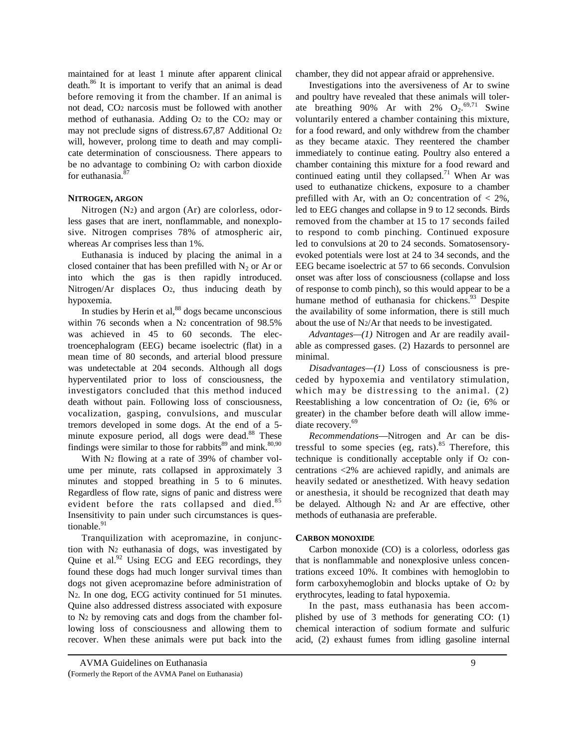maintained for at least 1 minute after apparent clinical death. 86 It is important to verify that an animal is dead before removing it from the chamber. If an animal is not dead, CO2 narcosis must be followed with another method of euthanasia. Adding O2 to the CO2 may or may not preclude signs of distress.67,87 Additional O2 will, however, prolong time to death and may complicate determination of consciousness. There appears to be no advantage to combining O2 with carbon dioxide for euthanasia.<sup>8</sup>

#### <span id="page-11-0"></span>**NITROGEN, ARGON**

Nitrogen (N2) and argon (Ar) are colorless, odorless gases that are inert, nonflammable, and nonexplosive. Nitrogen comprises 78% of atmospheric air, whereas Ar comprises less than 1%.

Euthanasia is induced by placing the animal in a closed container that has been prefilled with  $N_2$  or Ar or into which the gas is then rapidly introduced. Nitrogen/Ar displaces O2, thus inducing death by hypoxemia.

In studies by Herin et al, $88$  dogs became unconscious within 76 seconds when a N2 concentration of 98.5% was achieved in 45 to 60 seconds. The electroencephalogram (EEG) became isoelectric (flat) in a mean time of 80 seconds, and arterial blood pressure was undetectable at 204 seconds. Although all dogs hyperventilated prior to loss of consciousness, the investigators concluded that this method induced death without pain. Following loss of consciousness, vocalization, gasping, convulsions, and muscular tremors developed in some dogs. At the end of a 5 minute exposure period, all dogs were dead.<sup>88</sup> These findings were similar to those for rabbits $^{89}$  and mink.  $^{80,90}$ 

With N2 flowing at a rate of 39% of chamber volume per minute, rats collapsed in approximately 3 minutes and stopped breathing in 5 to 6 minutes. Regardless of flow rate, signs of panic and distress were evident before the rats collapsed and died.<sup>85</sup> Insensitivity to pain under such circumstances is questionable.<sup>91</sup>

Tranquilization with acepromazine, in conjunction with N2 euthanasia of dogs, was investigated by Quine et al. $^{92}$  Using ECG and EEG recordings, they found these dogs had much longer survival times than dogs not given acepromazine before administration of N2. In one dog, ECG activity continued for 51 minutes. Quine also addressed distress associated with exposure to N2 by removing cats and dogs from the chamber following loss of consciousness and allowing them to recover. When these animals were put back into the

chamber, they did not appear afraid or apprehensive.

Investigations into the aversiveness of Ar to swine and poultry have revealed that these animals will tolerate breathing 90% Ar with 2%  $O_2$ .<sup>69,71</sup> Swine voluntarily entered a chamber containing this mixture, for a food reward, and only withdrew from the chamber as they became ataxic. They reentered the chamber immediately to continue eating. Poultry also entered a chamber containing this mixture for a food reward and continued eating until they collapsed.<sup>71</sup> When Ar was used to euthanatize chickens, exposure to a chamber prefilled with Ar, with an O<sub>2</sub> concentration of  $<$  2%, led to EEG changes and collapse in 9 to 12 seconds. Birds removed from the chamber at 15 to 17 seconds failed to respond to comb pinching. Continued exposure led to convulsions at 20 to 24 seconds. Somatosensoryevoked potentials were lost at 24 to 34 seconds, and the EEG became isoelectric at 57 to 66 seconds. Convulsion onset was after loss of consciousness (collapse and loss of response to comb pinch), so this would appear to be a humane method of euthanasia for chickens.<sup>93</sup> Despite the availability of some information, there is still much about the use of N2/Ar that needs to be investigated.

*Advantages—(1)* Nitrogen and Ar are readily available as compressed gases. (2) Hazards to personnel are minimal.

*Disadvantages—(1)* Loss of consciousness is preceded by hypoxemia and ventilatory stimulation, which may be distressing to the animal. (2) Reestablishing a low concentration of O2 (ie, 6% or greater) in the chamber before death will allow immediate recovery. 69

*Recommendations*—Nitrogen and Ar can be distressful to some species (eg, rats). <sup>85</sup> Therefore, this technique is conditionally acceptable only if O2 concentrations <2% are achieved rapidly, and animals are heavily sedated or anesthetized. With heavy sedation or anesthesia, it should be recognized that death may be delayed. Although N2 and Ar are effective, other methods of euthanasia are preferable.

#### <span id="page-11-1"></span>**CARBON MONOXIDE**

Carbon monoxide (CO) is a colorless, odorless gas that is nonflammable and nonexplosive unless concentrations exceed 10%. It combines with hemoglobin to form carboxyhemoglobin and blocks uptake of O2 by erythrocytes, leading to fatal hypoxemia.

In the past, mass euthanasia has been accomplished by use of 3 methods for generating CO: (1) chemical interaction of sodium formate and sulfuric acid, (2) exhaust fumes from idling gasoline internal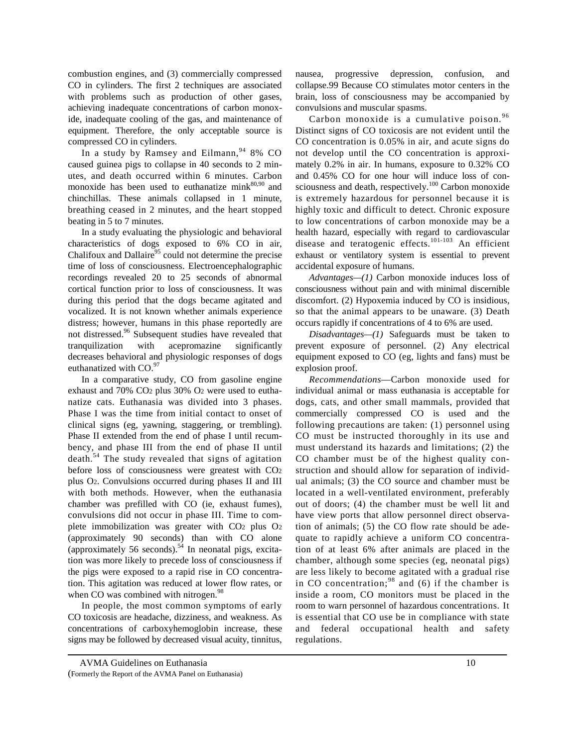combustion engines, and (3) commercially compressed CO in cylinders. The first 2 techniques are associated with problems such as production of other gases, achieving inadequate concentrations of carbon monoxide, inadequate cooling of the gas, and maintenance of equipment. Therefore, the only acceptable source is compressed CO in cylinders.

In a study by Ramsey and Eilmann,<sup>94</sup> 8% CO caused guinea pigs to collapse in 40 seconds to 2 minutes, and death occurred within 6 minutes. Carbon monoxide has been used to euthanatize mink $80,90$  and chinchillas. These animals collapsed in 1 minute, breathing ceased in 2 minutes, and the heart stopped beating in 5 to 7 minutes.

In a study evaluating the physiologic and behavioral characteristics of dogs exposed to 6% CO in air, Chalifoux and Dallaire<sup>95</sup> could not determine the precise time of loss of consciousness. Electroencephalographic recordings revealed 20 to 25 seconds of abnormal cortical function prior to loss of consciousness. It was during this period that the dogs became agitated and vocalized. It is not known whether animals experience distress; however, humans in this phase reportedly are not distressed. 96 Subsequent studies have revealed that tranquilization with acepromazine significantly decreases behavioral and physiologic responses of dogs euthanatized with  $CO.<sup>97</sup>$ 

In a comparative study, CO from gasoline engine exhaust and 70% CO2 plus 30% O2 were used to euthanatize cats. Euthanasia was divided into 3 phases. Phase I was the time from initial contact to onset of clinical signs (eg, yawning, staggering, or trembling). Phase II extended from the end of phase I until recumbency, and phase III from the end of phase II until death. 54 The study revealed that signs of agitation before loss of consciousness were greatest with CO2 plus O2. Convulsions occurred during phases II and III with both methods. However, when the euthanasia chamber was prefilled with CO (ie, exhaust fumes), convulsions did not occur in phase III. Time to complete immobilization was greater with CO2 plus O2 (approximately 90 seconds) than with CO alone (approximately 56 seconds). 54 In neonatal pigs, excitation was more likely to precede loss of consciousness if the pigs were exposed to a rapid rise in CO concentration. This agitation was reduced at lower flow rates, or when CO was combined with nitrogen.<sup>98</sup>

In people, the most common symptoms of early CO toxicosis are headache, dizziness, and weakness. As concentrations of carboxyhemoglobin increase, these signs may be followed by decreased visual acuity, tinnitus, nausea, progressive depression, confusion, and collapse.99 Because CO stimulates motor centers in the brain, loss of consciousness may be accompanied by convulsions and muscular spasms.

Carbon monoxide is a cumulative poison.<sup>96</sup> Distinct signs of CO toxicosis are not evident until the CO concentration is 0.05% in air, and acute signs do not develop until the CO concentration is approximately 0.2% in air. In humans, exposure to 0.32% CO and 0.45% CO for one hour will induce loss of consciousness and death, respectively.<sup>100</sup> Carbon monoxide is extremely hazardous for personnel because it is highly toxic and difficult to detect. Chronic exposure to low concentrations of carbon monoxide may be a health hazard, especially with regard to cardiovascular disease and teratogenic effects.<sup>101-103</sup> An efficient exhaust or ventilatory system is essential to prevent accidental exposure of humans.

*Advantages—(1)* Carbon monoxide induces loss of consciousness without pain and with minimal discernible discomfort. (2) Hypoxemia induced by CO is insidious, so that the animal appears to be unaware. (3) Death occurs rapidly if concentrations of 4 to 6% are used.

*Disadvantages—(1)* Safeguards must be taken to prevent exposure of personnel. (2) Any electrical equipment exposed to CO (eg, lights and fans) must be explosion proof.

*Recommendations*—Carbon monoxide used for individual animal or mass euthanasia is acceptable for dogs, cats, and other small mammals, provided that commercially compressed CO is used and the following precautions are taken: (1) personnel using CO must be instructed thoroughly in its use and must understand its hazards and limitations; (2) the CO chamber must be of the highest quality construction and should allow for separation of individual animals; (3) the CO source and chamber must be located in a well-ventilated environment, preferably out of doors; (4) the chamber must be well lit and have view ports that allow personnel direct observation of animals; (5) the CO flow rate should be adequate to rapidly achieve a uniform CO concentration of at least 6% after animals are placed in the chamber, although some species (eg, neonatal pigs) are less likely to become agitated with a gradual rise in CO concentration;  $98$  and (6) if the chamber is inside a room, CO monitors must be placed in the room to warn personnel of hazardous concentrations. It is essential that CO use be in compliance with state and federal occupational health and safety regulations.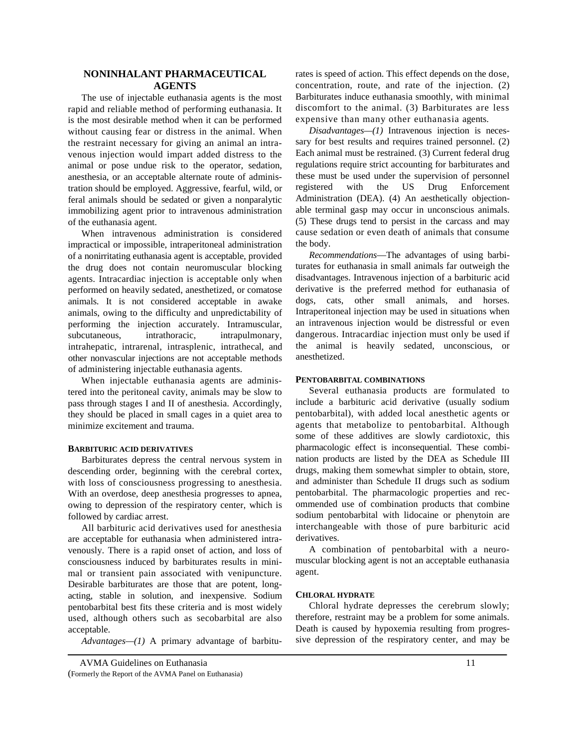#### <span id="page-13-0"></span>**NONINHALANT PHARMACEUTICAL AGENTS**

The use of injectable euthanasia agents is the most rapid and reliable method of performing euthanasia. It is the most desirable method when it can be performed without causing fear or distress in the animal. When the restraint necessary for giving an animal an intravenous injection would impart added distress to the animal or pose undue risk to the operator, sedation, anesthesia, or an acceptable alternate route of administration should be employed. Aggressive, fearful, wild, or feral animals should be sedated or given a nonparalytic immobilizing agent prior to intravenous administration of the euthanasia agent.

When intravenous administration is considered impractical or impossible, intraperitoneal administration of a nonirritating euthanasia agent is acceptable, provided the drug does not contain neuromuscular blocking agents. Intracardiac injection is acceptable only when performed on heavily sedated, anesthetized, or comatose animals. It is not considered acceptable in awake animals, owing to the difficulty and unpredictability of performing the injection accurately. Intramuscular, subcutaneous, intrathoracic, intrapulmonary, intrahepatic, intrarenal, intrasplenic, intrathecal, and other nonvascular injections are not acceptable methods of administering injectable euthanasia agents.

When injectable euthanasia agents are administered into the peritoneal cavity, animals may be slow to pass through stages I and II of anesthesia. Accordingly, they should be placed in small cages in a quiet area to minimize excitement and trauma.

#### <span id="page-13-1"></span>**BARBITURIC ACID DERIVATIVES**

Barbiturates depress the central nervous system in descending order, beginning with the cerebral cortex, with loss of consciousness progressing to anesthesia. With an overdose, deep anesthesia progresses to apnea, owing to depression of the respiratory center, which is followed by cardiac arrest.

All barbituric acid derivatives used for anesthesia are acceptable for euthanasia when administered intravenously. There is a rapid onset of action, and loss of consciousness induced by barbiturates results in minimal or transient pain associated with venipuncture. Desirable barbiturates are those that are potent, longacting, stable in solution, and inexpensive. Sodium pentobarbital best fits these criteria and is most widely used, although others such as secobarbital are also acceptable.

*Advantages—(1)* A primary advantage of barbitu-

rates is speed of action. This effect depends on the dose, concentration, route, and rate of the injection. (2) Barbiturates induce euthanasia smoothly, with minimal discomfort to the animal. (3) Barbiturates are less expensive than many other euthanasia agents.

*Disadvantages—(1)* Intravenous injection is necessary for best results and requires trained personnel. (2) Each animal must be restrained. (3) Current federal drug regulations require strict accounting for barbiturates and these must be used under the supervision of personnel registered with the US Drug Enforcement Administration (DEA). (4) An aesthetically objectionable terminal gasp may occur in unconscious animals. (5) These drugs tend to persist in the carcass and may cause sedation or even death of animals that consume the body.

*Recommendations*—The advantages of using barbiturates for euthanasia in small animals far outweigh the disadvantages. Intravenous injection of a barbituric acid derivative is the preferred method for euthanasia of dogs, cats, other small animals, and horses. Intraperitoneal injection may be used in situations when an intravenous injection would be distressful or even dangerous. Intracardiac injection must only be used if the animal is heavily sedated, unconscious, or anesthetized.

#### <span id="page-13-2"></span>**PENTOBARBITAL COMBINATIONS**

Several euthanasia products are formulated to include a barbituric acid derivative (usually sodium pentobarbital), with added local anesthetic agents or agents that metabolize to pentobarbital. Although some of these additives are slowly cardiotoxic, this pharmacologic effect is inconsequential. These combination products are listed by the DEA as Schedule III drugs, making them somewhat simpler to obtain, store, and administer than Schedule II drugs such as sodium pentobarbital. The pharmacologic properties and recommended use of combination products that combine sodium pentobarbital with lidocaine or phenytoin are interchangeable with those of pure barbituric acid derivatives.

A combination of pentobarbital with a neuromuscular blocking agent is not an acceptable euthanasia agent.

#### <span id="page-13-3"></span>**CHLORAL HYDRATE**

Chloral hydrate depresses the cerebrum slowly; therefore, restraint may be a problem for some animals. Death is caused by hypoxemia resulting from progressive depression of the respiratory center, and may be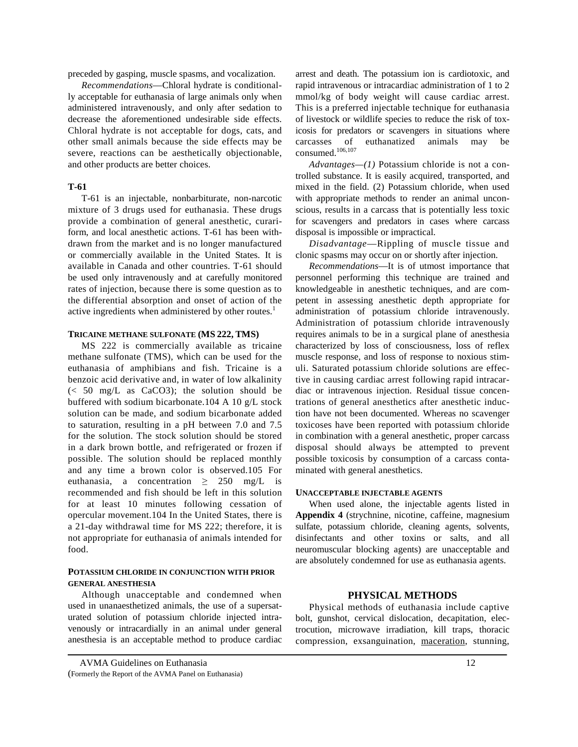preceded by gasping, muscle spasms, and vocalization.

*Recommendations*—Chloral hydrate is conditionally acceptable for euthanasia of large animals only when administered intravenously, and only after sedation to decrease the aforementioned undesirable side effects. Chloral hydrate is not acceptable for dogs, cats, and other small animals because the side effects may be severe, reactions can be aesthetically objectionable, and other products are better choices.

#### <span id="page-14-0"></span>**T-61**

T-61 is an injectable, nonbarbiturate, non-narcotic mixture of 3 drugs used for euthanasia. These drugs provide a combination of general anesthetic, curariform, and local anesthetic actions. T-61 has been withdrawn from the market and is no longer manufactured or commercially available in the United States. It is available in Canada and other countries. T-61 should be used only intravenously and at carefully monitored rates of injection, because there is some question as to the differential absorption and onset of action of the active ingredients when administered by other routes.<sup>1</sup>

#### <span id="page-14-1"></span>**TRICAINE METHANE SULFONATE (MS 222, TMS)**

MS 222 is commercially available as tricaine methane sulfonate (TMS), which can be used for the euthanasia of amphibians and fish. Tricaine is a benzoic acid derivative and, in water of low alkalinity  $\langle$  50 mg/L as CaCO3); the solution should be buffered with sodium bicarbonate.104 A 10 g/L stock solution can be made, and sodium bicarbonate added to saturation, resulting in a pH between 7.0 and 7.5 for the solution. The stock solution should be stored in a dark brown bottle, and refrigerated or frozen if possible. The solution should be replaced monthly and any time a brown color is observed.105 For euthanasia, a concentration  $\geq$  250 mg/L is recommended and fish should be left in this solution for at least 10 minutes following cessation of opercular movement.104 In the United States, there is a 21-day withdrawal time for MS 222; therefore, it is not appropriate for euthanasia of animals intended for food.

#### <span id="page-14-2"></span>**POTASSIUM CHLORIDE IN CONJUNCTION WITH PRIOR GENERAL ANESTHESIA**

Although unacceptable and condemned when used in unanaesthetized animals, the use of a supersaturated solution of potassium chloride injected intravenously or intracardially in an animal under general anesthesia is an acceptable method to produce cardiac arrest and death. The potassium ion is cardiotoxic, and rapid intravenous or intracardiac administration of 1 to 2 mmol/kg of body weight will cause cardiac arrest. This is a preferred injectable technique for euthanasia of livestock or wildlife species to reduce the risk of toxicosis for predators or scavengers in situations where of euthanatized animals may be consumed.<sup>106,107</sup>

*Advantages—(1)* Potassium chloride is not a controlled substance. It is easily acquired, transported, and mixed in the field. (2) Potassium chloride, when used with appropriate methods to render an animal unconscious, results in a carcass that is potentially less toxic for scavengers and predators in cases where carcass disposal is impossible or impractical.

*Disadvantage*—Rippling of muscle tissue and clonic spasms may occur on or shortly after injection.

*Recommendations*—It is of utmost importance that personnel performing this technique are trained and knowledgeable in anesthetic techniques, and are competent in assessing anesthetic depth appropriate for administration of potassium chloride intravenously. Administration of potassium chloride intravenously requires animals to be in a surgical plane of anesthesia characterized by loss of consciousness, loss of reflex muscle response, and loss of response to noxious stimuli. Saturated potassium chloride solutions are effective in causing cardiac arrest following rapid intracardiac or intravenous injection. Residual tissue concentrations of general anesthetics after anesthetic induction have not been documented. Whereas no scavenger toxicoses have been reported with potassium chloride in combination with a general anesthetic, proper carcass disposal should always be attempted to prevent possible toxicosis by consumption of a carcass contaminated with general anesthetics.

#### <span id="page-14-3"></span>**UNACCEPTABLE INJECTABLE AGENTS**

When used alone, the injectable agents listed in **Appendix 4** (strychnine, nicotine, caffeine, magnesium sulfate, potassium chloride, cleaning agents, solvents, disinfectants and other toxins or salts, and all neuromuscular blocking agents) are unacceptable and are absolutely condemned for use as euthanasia agents.

#### <span id="page-14-4"></span>**PHYSICAL METHODS**

Physical methods of euthanasia include captive bolt, gunshot, cervical dislocation, decapitation, electrocution, microwave irradiation, kill traps, thoracic compression, exsanguination, maceration, stunning,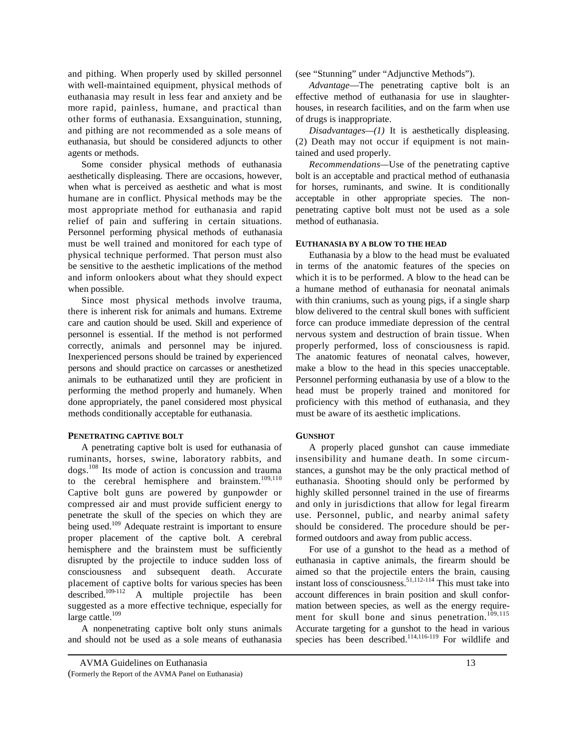and pithing. When properly used by skilled personnel with well-maintained equipment, physical methods of euthanasia may result in less fear and anxiety and be more rapid, painless, humane, and practical than other forms of euthanasia. Exsanguination, stunning, and pithing are not recommended as a sole means of euthanasia, but should be considered adjuncts to other agents or methods.

Some consider physical methods of euthanasia aesthetically displeasing. There are occasions, however, when what is perceived as aesthetic and what is most humane are in conflict. Physical methods may be the most appropriate method for euthanasia and rapid relief of pain and suffering in certain situations. Personnel performing physical methods of euthanasia must be well trained and monitored for each type of physical technique performed. That person must also be sensitive to the aesthetic implications of the method and inform onlookers about what they should expect when possible.

Since most physical methods involve trauma, there is inherent risk for animals and humans. Extreme care and caution should be used. Skill and experience of personnel is essential. If the method is not performed correctly, animals and personnel may be injured. Inexperienced persons should be trained by experienced persons and should practice on carcasses or anesthetized animals to be euthanatized until they are proficient in performing the method properly and humanely. When done appropriately, the panel considered most physical methods conditionally acceptable for euthanasia.

#### <span id="page-15-0"></span>**PENETRATING CAPTIVE BOLT**

A penetrating captive bolt is used for euthanasia of ruminants, horses, swine, laboratory rabbits, and dogs. 108 Its mode of action is concussion and trauma to the cerebral hemisphere and brainstem.<sup>109,110</sup> Captive bolt guns are powered by gunpowder or compressed air and must provide sufficient energy to penetrate the skull of the species on which they are being used.<sup>109</sup> Adequate restraint is important to ensure proper placement of the captive bolt. A cerebral hemisphere and the brainstem must be sufficiently disrupted by the projectile to induce sudden loss of consciousness and subsequent death. Accurate placement of captive bolts for various species has been described.<sup>109-112</sup> A multiple projectile has been suggested as a more effective technique, especially for large cattle. $109$ 

A nonpenetrating captive bolt only stuns animals and should not be used as a sole means of euthanasia (see "Stunning" under "Adjunctive Methods").

*Advantage*—The penetrating captive bolt is an effective method of euthanasia for use in slaughterhouses, in research facilities, and on the farm when use of drugs is inappropriate.

*Disadvantages—(1)* It is aesthetically displeasing. (2) Death may not occur if equipment is not maintained and used properly.

*Recommendations—*Use of the penetrating captive bolt is an acceptable and practical method of euthanasia for horses, ruminants, and swine. It is conditionally acceptable in other appropriate species. The nonpenetrating captive bolt must not be used as a sole method of euthanasia.

#### <span id="page-15-1"></span>**EUTHANASIA BY A BLOW TO THE HEAD**

Euthanasia by a blow to the head must be evaluated in terms of the anatomic features of the species on which it is to be performed. A blow to the head can be a humane method of euthanasia for neonatal animals with thin craniums, such as young pigs, if a single sharp blow delivered to the central skull bones with sufficient force can produce immediate depression of the central nervous system and destruction of brain tissue. When properly performed, loss of consciousness is rapid. The anatomic features of neonatal calves, however, make a blow to the head in this species unacceptable. Personnel performing euthanasia by use of a blow to the head must be properly trained and monitored for proficiency with this method of euthanasia, and they must be aware of its aesthetic implications.

#### <span id="page-15-2"></span>**GUNSHOT**

A properly placed gunshot can cause immediate insensibility and humane death. In some circumstances, a gunshot may be the only practical method of euthanasia. Shooting should only be performed by highly skilled personnel trained in the use of firearms and only in jurisdictions that allow for legal firearm use. Personnel, public, and nearby animal safety should be considered. The procedure should be performed outdoors and away from public access.

For use of a gunshot to the head as a method of euthanasia in captive animals, the firearm should be aimed so that the projectile enters the brain, causing instant loss of consciousness. 51,112-114 This must take into account differences in brain position and skull conformation between species, as well as the energy requirement for skull bone and sinus penetration.  $109,115$ Accurate targeting for a gunshot to the head in various species has been described.<sup>114,116-119</sup> For wildlife and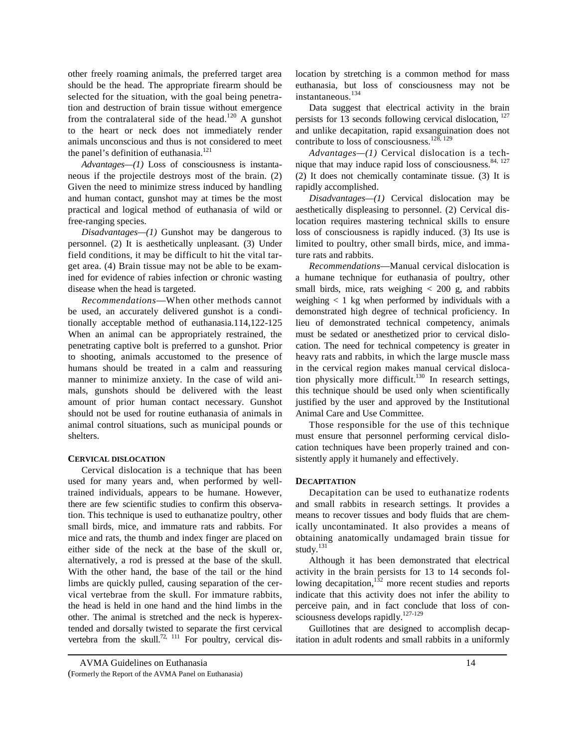other freely roaming animals, the preferred target area should be the head. The appropriate firearm should be selected for the situation, with the goal being penetration and destruction of brain tissue without emergence from the contralateral side of the head.<sup>120</sup> A gunshot to the heart or neck does not immediately render animals unconscious and thus is not considered to meet the panel's definition of euthanasia. $121$ 

*Advantages—(1)* Loss of consciousness is instantaneous if the projectile destroys most of the brain. (2) Given the need to minimize stress induced by handling and human contact, gunshot may at times be the most practical and logical method of euthanasia of wild or free-ranging species.

*Disadvantages—(1)* Gunshot may be dangerous to personnel. (2) It is aesthetically unpleasant. (3) Under field conditions, it may be difficult to hit the vital target area. (4) Brain tissue may not be able to be examined for evidence of rabies infection or chronic wasting disease when the head is targeted.

*Recommendations*—When other methods cannot be used, an accurately delivered gunshot is a conditionally acceptable method of euthanasia.114,122-125 When an animal can be appropriately restrained, the penetrating captive bolt is preferred to a gunshot. Prior to shooting, animals accustomed to the presence of humans should be treated in a calm and reassuring manner to minimize anxiety. In the case of wild animals, gunshots should be delivered with the least amount of prior human contact necessary. Gunshot should not be used for routine euthanasia of animals in animal control situations, such as municipal pounds or shelters.

#### <span id="page-16-0"></span>**CERVICAL DISLOCATION**

Cervical dislocation is a technique that has been used for many years and, when performed by welltrained individuals, appears to be humane. However, there are few scientific studies to confirm this observation. This technique is used to euthanatize poultry, other small birds, mice, and immature rats and rabbits. For mice and rats, the thumb and index finger are placed on either side of the neck at the base of the skull or, alternatively, a rod is pressed at the base of the skull. With the other hand, the base of the tail or the hind limbs are quickly pulled, causing separation of the cervical vertebrae from the skull. For immature rabbits, the head is held in one hand and the hind limbs in the other. The animal is stretched and the neck is hyperextended and dorsally twisted to separate the first cervical vertebra from the skull.<sup>72, 111</sup> For poultry, cervical dislocation by stretching is a common method for mass euthanasia, but loss of consciousness may not be instantaneous. 134

Data suggest that electrical activity in the brain persists for 13 seconds following cervical dislocation,  $127$ and unlike decapitation, rapid exsanguination does not contribute to loss of consciousness.  $^{12\bar{8}, 129}$ 

*Advantages—(1)* Cervical dislocation is a technique that may induce rapid loss of consciousness.  $84, 127$ (2) It does not chemically contaminate tissue. (3) It is rapidly accomplished.

*Disadvantages—(1)* Cervical dislocation may be aesthetically displeasing to personnel. (2) Cervical dislocation requires mastering technical skills to ensure loss of consciousness is rapidly induced. (3) Its use is limited to poultry, other small birds, mice, and immature rats and rabbits.

*Recommendations*—Manual cervical dislocation is a humane technique for euthanasia of poultry, other small birds, mice, rats weighing  $< 200$  g, and rabbits weighing  $< 1$  kg when performed by individuals with a demonstrated high degree of technical proficiency. In lieu of demonstrated technical competency, animals must be sedated or anesthetized prior to cervical dislocation. The need for technical competency is greater in heavy rats and rabbits, in which the large muscle mass in the cervical region makes manual cervical dislocation physically more difficult.<sup>130</sup> In research settings, this technique should be used only when scientifically justified by the user and approved by the Institutional Animal Care and Use Committee.

Those responsible for the use of this technique must ensure that personnel performing cervical dislocation techniques have been properly trained and consistently apply it humanely and effectively.

#### <span id="page-16-1"></span>**DECAPITATION**

Decapitation can be used to euthanatize rodents and small rabbits in research settings. It provides a means to recover tissues and body fluids that are chemically uncontaminated. It also provides a means of obtaining anatomically undamaged brain tissue for study. 131

Although it has been demonstrated that electrical activity in the brain persists for 13 to 14 seconds following decapitation,  $132$  more recent studies and reports indicate that this activity does not infer the ability to perceive pain, and in fact conclude that loss of consciousness develops rapidly.<sup>127-129</sup>

Guillotines that are designed to accomplish decapitation in adult rodents and small rabbits in a uniformly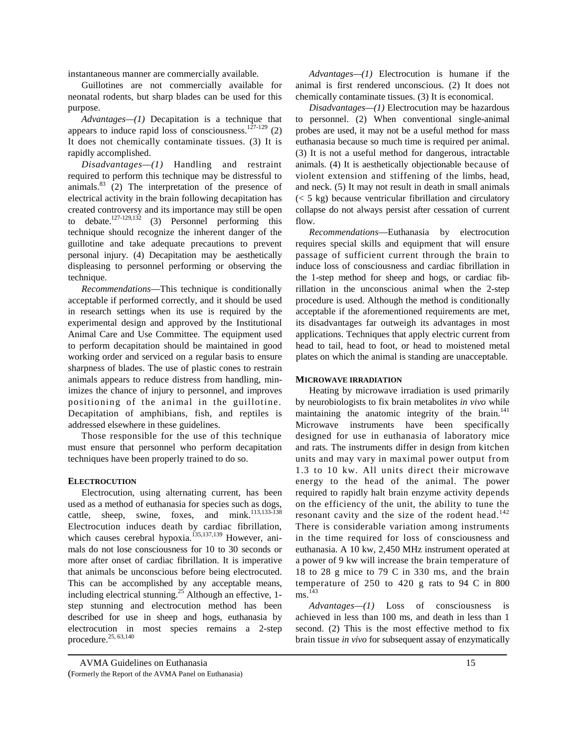instantaneous manner are commercially available.

Guillotines are not commercially available for neonatal rodents, but sharp blades can be used for this purpose.

*Advantages—(1)* Decapitation is a technique that appears to induce rapid loss of consciousness.  $127-129$  (2) It does not chemically contaminate tissues. (3) It is rapidly accomplished.

*Disadvantages—(1)* Handling and restraint required to perform this technique may be distressful to animals. $83$  (2) The interpretation of the presence of electrical activity in the brain following decapitation has created controversy and its importance may still be open to debate.<sup>127-129,132</sup> (3) Personnel performing this technique should recognize the inherent danger of the guillotine and take adequate precautions to prevent personal injury. (4) Decapitation may be aesthetically displeasing to personnel performing or observing the technique.

*Recommendations*—This technique is conditionally acceptable if performed correctly, and it should be used in research settings when its use is required by the experimental design and approved by the Institutional Animal Care and Use Committee. The equipment used to perform decapitation should be maintained in good working order and serviced on a regular basis to ensure sharpness of blades. The use of plastic cones to restrain animals appears to reduce distress from handling, minimizes the chance of injury to personnel, and improves positioning of the animal in the guillotine. Decapitation of amphibians, fish, and reptiles is addressed elsewhere in these guidelines.

Those responsible for the use of this technique must ensure that personnel who perform decapitation techniques have been properly trained to do so.

#### <span id="page-17-0"></span>**ELECTROCUTION**

Electrocution, using alternating current, has been used as a method of euthanasia for species such as dogs, cattle, sheep, swine, foxes, and mink. 113,133-138 Electrocution induces death by cardiac fibrillation, which causes cerebral hypoxia.<sup>135,137,139</sup> However, animals do not lose consciousness for 10 to 30 seconds or more after onset of cardiac fibrillation. It is imperative that animals be unconscious before being electrocuted. This can be accomplished by any acceptable means, including electrical stunning.<sup>25</sup> Although an effective, 1step stunning and electrocution method has been described for use in sheep and hogs, euthanasia by electrocution in most species remains a 2-step procedure. 25, 63,140

*Advantages—(1)* Electrocution is humane if the animal is first rendered unconscious. (2) It does not chemically contaminate tissues. (3) It is economical.

*Disadvantages—(1)* Electrocution may be hazardous to personnel. (2) When conventional single-animal probes are used, it may not be a useful method for mass euthanasia because so much time is required per animal. (3) It is not a useful method for dangerous, intractable animals. (4) It is aesthetically objectionable because of violent extension and stiffening of the limbs, head, and neck. (5) It may not result in death in small animals  $(< 5 \text{ kg})$  because ventricular fibrillation and circulatory collapse do not always persist after cessation of current flow.

*Recommendations*—Euthanasia by electrocution requires special skills and equipment that will ensure passage of sufficient current through the brain to induce loss of consciousness and cardiac fibrillation in the 1-step method for sheep and hogs, or cardiac fibrillation in the unconscious animal when the 2-step procedure is used. Although the method is conditionally acceptable if the aforementioned requirements are met, its disadvantages far outweigh its advantages in most applications. Techniques that apply electric current from head to tail, head to foot, or head to moistened metal plates on which the animal is standing are unacceptable.

#### <span id="page-17-1"></span>**MICROWAVE IRRADIATION**

Heating by microwave irradiation is used primarily by neurobiologists to fix brain metabolites *in vivo* while maintaining the anatomic integrity of the brain.<sup>141</sup> Microwave instruments have been specifically designed for use in euthanasia of laboratory mice and rats. The instruments differ in design from kitchen units and may vary in maximal power output from 1.3 to 10 kw. All units direct their microwave energy to the head of the animal. The power required to rapidly halt brain enzyme activity depends on the efficiency of the unit, the ability to tune the resonant cavity and the size of the rodent head.<sup>142</sup> There is considerable variation among instruments in the time required for loss of consciousness and euthanasia. A 10 kw, 2,450 MHz instrument operated at a power of 9 kw will increase the brain temperature of 18 to 28 g mice to 79 C in 330 ms, and the brain temperature of 250 to 420 g rats to 94 C in 800 ms. $^{143}$ 

*Advantages—(1)* Loss of consciousness is achieved in less than 100 ms, and death in less than 1 second. (2) This is the most effective method to fix brain tissue *in vivo* for subsequent assay of enzymatically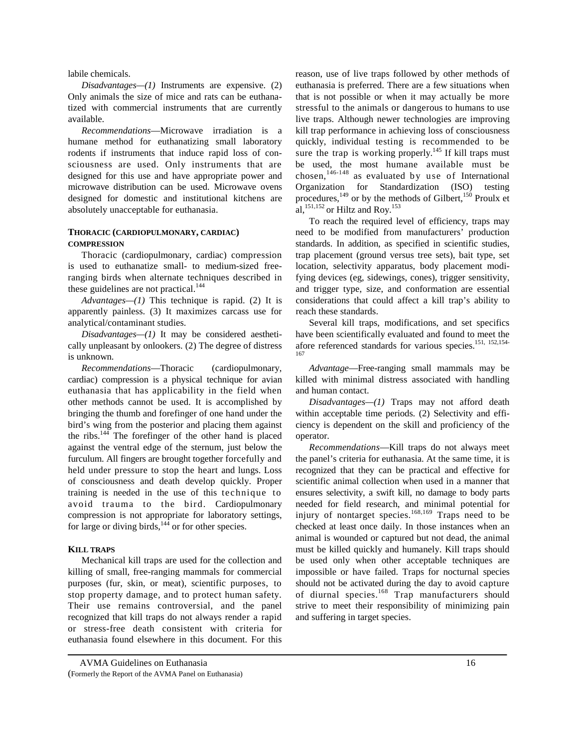labile chemicals.

*Disadvantages—(1)* Instruments are expensive. (2) Only animals the size of mice and rats can be euthanatized with commercial instruments that are currently available.

*Recommendations*—Microwave irradiation is a humane method for euthanatizing small laboratory rodents if instruments that induce rapid loss of consciousness are used. Only instruments that are designed for this use and have appropriate power and microwave distribution can be used. Microwave ovens designed for domestic and institutional kitchens are absolutely unacceptable for euthanasia.

#### <span id="page-18-0"></span>**THORACIC (CARDIOPULMONARY, CARDIAC) COMPRESSION**

Thoracic (cardiopulmonary, cardiac) compression is used to euthanatize small- to medium-sized freeranging birds when alternate techniques described in these guidelines are not practical.<sup>144</sup>

*Advantages—(1)* This technique is rapid. (2) It is apparently painless. (3) It maximizes carcass use for analytical/contaminant studies.

*Disadvantages—(1)* It may be considered aesthetically unpleasant by onlookers. (2) The degree of distress is unknown.

*Recommendations*—Thoracic (cardiopulmonary, cardiac) compression is a physical technique for avian euthanasia that has applicability in the field when other methods cannot be used. It is accomplished by bringing the thumb and forefinger of one hand under the bird's wing from the posterior and placing them against the ribs.<sup>144</sup> The forefinger of the other hand is placed against the ventral edge of the sternum, just below the furculum. All fingers are brought together forcefully and held under pressure to stop the heart and lungs. Loss of consciousness and death develop quickly. Proper training is needed in the use of this technique to avoid trauma to the bird. Cardiopulmonary compression is not appropriate for laboratory settings, for large or diving birds,  $14\overline{4}$  or for other species.

#### <span id="page-18-1"></span>**KILL TRAPS**

Mechanical kill traps are used for the collection and killing of small, free-ranging mammals for commercial purposes (fur, skin, or meat), scientific purposes, to stop property damage, and to protect human safety. Their use remains controversial, and the panel recognized that kill traps do not always render a rapid or stress-free death consistent with criteria for euthanasia found elsewhere in this document. For this reason, use of live traps followed by other methods of euthanasia is preferred. There are a few situations when that is not possible or when it may actually be more stressful to the animals or dangerous to humans to use live traps. Although newer technologies are improving kill trap performance in achieving loss of consciousness quickly, individual testing is recommended to be sure the trap is working properly.<sup>145</sup> If kill traps must be used, the most humane available must be chosen, 146-148 as evaluated by use of International Organization for Standardization (ISO) testing procedures,  $^{149}$  or by the methods of Gilbert,  $^{150}$  Proulx et al,  $151,152$  or Hiltz and Roy.  $153$ 

To reach the required level of efficiency, traps may need to be modified from manufacturers' production standards. In addition, as specified in scientific studies, trap placement (ground versus tree sets), bait type, set location, selectivity apparatus, body placement modifying devices (eg, sidewings, cones), trigger sensitivity, and trigger type, size, and conformation are essential considerations that could affect a kill trap's ability to reach these standards.

Several kill traps, modifications, and set specifics have been scientifically evaluated and found to meet the afore referenced standards for various species.<sup>151, 152,154-</sup> 167

*Advantage*—Free-ranging small mammals may be killed with minimal distress associated with handling and human contact.

*Disadvantages—(1)* Traps may not afford death within acceptable time periods. (2) Selectivity and efficiency is dependent on the skill and proficiency of the operator.

*Recommendations*—Kill traps do not always meet the panel's criteria for euthanasia. At the same time, it is recognized that they can be practical and effective for scientific animal collection when used in a manner that ensures selectivity, a swift kill, no damage to body parts needed for field research, and minimal potential for injury of nontarget species.<sup>168,169</sup> Traps need to be checked at least once daily. In those instances when an animal is wounded or captured but not dead, the animal must be killed quickly and humanely. Kill traps should be used only when other acceptable techniques are impossible or have failed. Traps for nocturnal species should not be activated during the day to avoid capture of diurnal species.<sup>168</sup> Trap manufacturers should strive to meet their responsibility of minimizing pain and suffering in target species.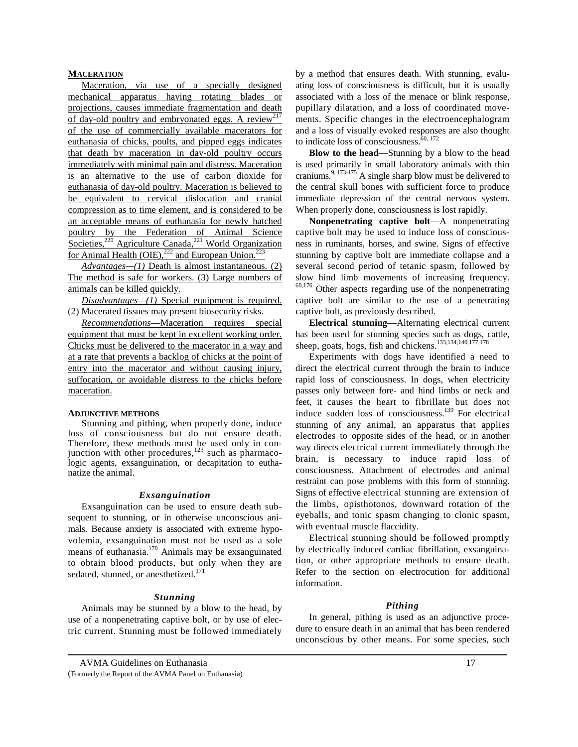#### <span id="page-19-0"></span>**MACERATION**

Maceration, via use of a specially designed mechanical apparatus having rotating blades or projections, causes immediate fragmentation and death of day-old poultry and embryonated eggs. A review<sup>217</sup> of the use of commercially available macerators for euthanasia of chicks, poults, and pipped eggs indicates that death by maceration in day-old poultry occurs immediately with minimal pain and distress. Maceration is an alternative to the use of carbon dioxide for euthanasia of day-old poultry. Maceration is believed to be equivalent to cervical dislocation and cranial compression as to time element, and is considered to be an acceptable means of euthanasia for newly hatched poultry by the Federation of Animal Science Societies,<sup>220</sup> Agriculture Canada,<sup>221</sup> World Organization for Animal Health  $(OIE),<sup>222</sup>$  and European Union.<sup>223</sup>

*Advantages—(1)* Death is almost instantaneous. (2) The method is safe for workers. (3) Large numbers of animals can be killed quickly.

*Disadvantages—(1)* Special equipment is required. (2) Macerated tissues may present biosecurity risks.

*Recommendations*—Maceration requires special equipment that must be kept in excellent working order. Chicks must be delivered to the macerator in a way and at a rate that prevents a backlog of chicks at the point of entry into the macerator and without causing injury, suffocation, or avoidable distress to the chicks before maceration.

#### <span id="page-19-1"></span>**ADJUNCTIVE METHODS**

Stunning and pithing, when properly done, induce loss of consciousness but do not ensure death. Therefore, these methods must be used only in conjunction with other procedures,  $123$  such as pharmacologic agents, exsanguination, or decapitation to euthanatize the animal.

#### <span id="page-19-2"></span>*Exsanguination*

Exsanguination can be used to ensure death subsequent to stunning, or in otherwise unconscious animals. Because anxiety is associated with extreme hypovolemia, exsanguination must not be used as a sole means of euthanasia.170 Animals may be exsanguinated to obtain blood products, but only when they are sedated, stunned, or anesthetized.<sup>171</sup>

#### <span id="page-19-3"></span>*Stunning*

Animals may be stunned by a blow to the head, by use of a nonpenetrating captive bolt, or by use of electric current. Stunning must be followed immediately

by a method that ensures death. With stunning, evaluating loss of consciousness is difficult, but it is usually associated with a loss of the menace or blink response, pupillary dilatation, and a loss of coordinated movements. Specific changes in the electroencephalogram and a loss of visually evoked responses are also thought to indicate loss of consciousness. $\frac{60}{172}$ 

**Blow to the head**—Stunning by a blow to the head is used primarily in small laboratory animals with thin craniums.<sup>9, 173-175</sup> A single sharp blow must be delivered to the central skull bones with sufficient force to produce immediate depression of the central nervous system. When properly done, consciousness is lost rapidly.

**Nonpenetrating captive bolt**—A nonpenetrating captive bolt may be used to induce loss of consciousness in ruminants, horses, and swine. Signs of effective stunning by captive bolt are immediate collapse and a several second period of tetanic spasm, followed by slow hind limb movements of increasing frequency.<br><sup>60,176</sup> Other aspects regarding use of the nonpenetrating captive bolt are similar to the use of a penetrating captive bolt, as previously described.

**Electrical stunning**—Alternating electrical current has been used for stunning species such as dogs, cattle, sheep, goats, hogs, fish and chickens.<sup>133,134,140,177,178</sup>

Experiments with dogs have identified a need to direct the electrical current through the brain to induce rapid loss of consciousness. In dogs, when electricity passes only between fore- and hind limbs or neck and feet, it causes the heart to fibrillate but does not induce sudden loss of consciousness.<sup>139</sup> For electrical stunning of any animal, an apparatus that applies electrodes to opposite sides of the head, or in another way directs electrical current immediately through the brain, is necessary to induce rapid loss of consciousness. Attachment of electrodes and animal restraint can pose problems with this form of stunning. Signs of effective electrical stunning are extension of the limbs, opisthotonos, downward rotation of the eyeballs, and tonic spasm changing to clonic spasm, with eventual muscle flaccidity.

Electrical stunning should be followed promptly by electrically induced cardiac fibrillation, exsanguination, or other appropriate methods to ensure death. Refer to the section on electrocution for additional information.

#### <span id="page-19-4"></span>*Pithing*

In general, pithing is used as an adjunctive procedure to ensure death in an animal that has been rendered unconscious by other means. For some species, such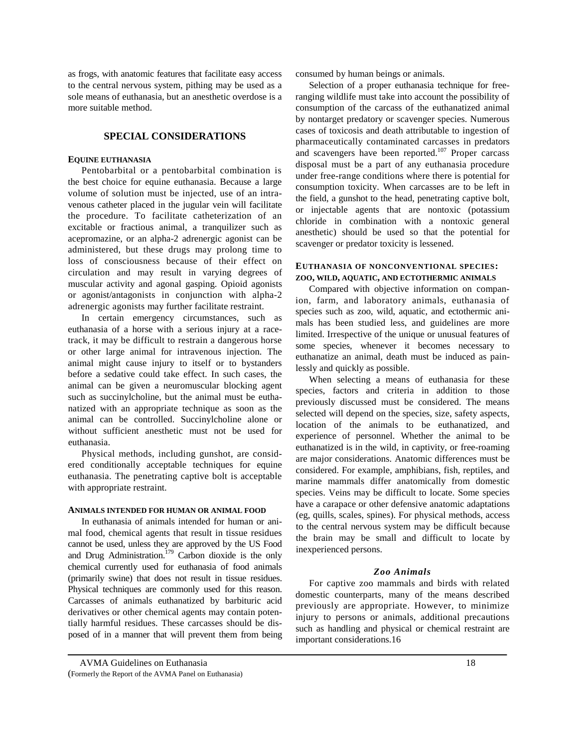as frogs, with anatomic features that facilitate easy access to the central nervous system, pithing may be used as a sole means of euthanasia, but an anesthetic overdose is a more suitable method.

#### <span id="page-20-0"></span>**SPECIAL CONSIDERATIONS**

#### <span id="page-20-1"></span>**EQUINE EUTHANASIA**

Pentobarbital or a pentobarbital combination is the best choice for equine euthanasia. Because a large volume of solution must be injected, use of an intravenous catheter placed in the jugular vein will facilitate the procedure. To facilitate catheterization of an excitable or fractious animal, a tranquilizer such as acepromazine, or an alpha-2 adrenergic agonist can be administered, but these drugs may prolong time to loss of consciousness because of their effect on circulation and may result in varying degrees of muscular activity and agonal gasping. Opioid agonists or agonist/antagonists in conjunction with alpha-2 adrenergic agonists may further facilitate restraint.

In certain emergency circumstances, such as euthanasia of a horse with a serious injury at a racetrack, it may be difficult to restrain a dangerous horse or other large animal for intravenous injection. The animal might cause injury to itself or to bystanders before a sedative could take effect. In such cases, the animal can be given a neuromuscular blocking agent such as succinylcholine, but the animal must be euthanatized with an appropriate technique as soon as the animal can be controlled. Succinylcholine alone or without sufficient anesthetic must not be used for euthanasia.

Physical methods, including gunshot, are considered conditionally acceptable techniques for equine euthanasia. The penetrating captive bolt is acceptable with appropriate restraint.

#### <span id="page-20-2"></span>**ANIMALS INTENDED FOR HUMAN OR ANIMAL FOOD**

In euthanasia of animals intended for human or animal food, chemical agents that result in tissue residues cannot be used, unless they are approved by the US Food and Drug Administration. 179 Carbon dioxide is the only chemical currently used for euthanasia of food animals (primarily swine) that does not result in tissue residues. Physical techniques are commonly used for this reason. Carcasses of animals euthanatized by barbituric acid derivatives or other chemical agents may contain potentially harmful residues. These carcasses should be disposed of in a manner that will prevent them from being

consumed by human beings or animals.

Selection of a proper euthanasia technique for freeranging wildlife must take into account the possibility of consumption of the carcass of the euthanatized animal by nontarget predatory or scavenger species. Numerous cases of toxicosis and death attributable to ingestion of pharmaceutically contaminated carcasses in predators and scavengers have been reported.<sup>107</sup> Proper carcass disposal must be a part of any euthanasia procedure under free-range conditions where there is potential for consumption toxicity. When carcasses are to be left in the field, a gunshot to the head, penetrating captive bolt, or injectable agents that are nontoxic (potassium chloride in combination with a nontoxic general anesthetic) should be used so that the potential for scavenger or predator toxicity is lessened.

#### <span id="page-20-3"></span>**EUTHANASIA OF NONCONVENTIONAL SPECIES: ZOO, WILD, AQUATIC, AND ECTOTHERMIC ANIMALS**

Compared with objective information on companion, farm, and laboratory animals, euthanasia of species such as zoo, wild, aquatic, and ectothermic animals has been studied less, and guidelines are more limited. Irrespective of the unique or unusual features of some species, whenever it becomes necessary to euthanatize an animal, death must be induced as painlessly and quickly as possible.

When selecting a means of euthanasia for these species, factors and criteria in addition to those previously discussed must be considered. The means selected will depend on the species, size, safety aspects, location of the animals to be euthanatized, and experience of personnel. Whether the animal to be euthanatized is in the wild, in captivity, or free-roaming are major considerations. Anatomic differences must be considered. For example, amphibians, fish, reptiles, and marine mammals differ anatomically from domestic species. Veins may be difficult to locate. Some species have a carapace or other defensive anatomic adaptations (eg, quills, scales, spines). For physical methods, access to the central nervous system may be difficult because the brain may be small and difficult to locate by inexperienced persons.

#### <span id="page-20-4"></span>*Zoo Animals*

For captive zoo mammals and birds with related domestic counterparts, many of the means described previously are appropriate. However, to minimize injury to persons or animals, additional precautions such as handling and physical or chemical restraint are important considerations.16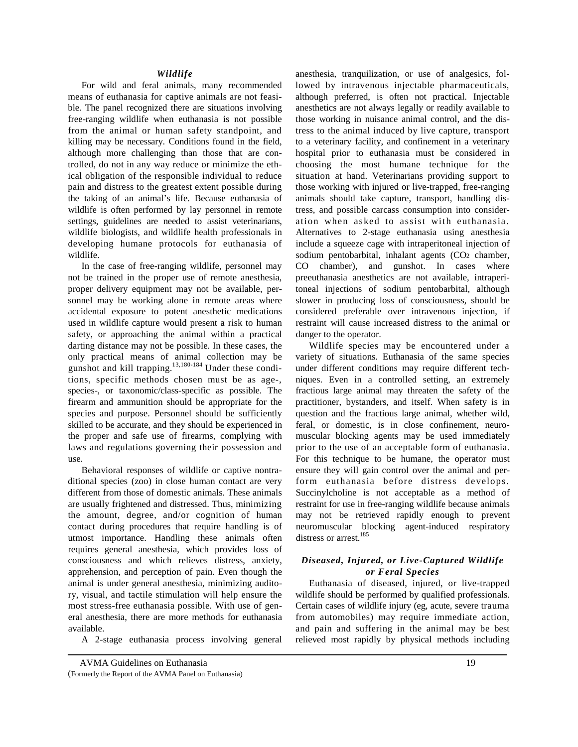#### <span id="page-21-0"></span>*Wildlife*

For wild and feral animals, many recommended means of euthanasia for captive animals are not feasible. The panel recognized there are situations involving free-ranging wildlife when euthanasia is not possible from the animal or human safety standpoint, and killing may be necessary. Conditions found in the field, although more challenging than those that are controlled, do not in any way reduce or minimize the ethical obligation of the responsible individual to reduce pain and distress to the greatest extent possible during the taking of an animal's life. Because euthanasia of wildlife is often performed by lay personnel in remote settings, guidelines are needed to assist veterinarians, wildlife biologists, and wildlife health professionals in developing humane protocols for euthanasia of wildlife.

In the case of free-ranging wildlife, personnel may not be trained in the proper use of remote anesthesia, proper delivery equipment may not be available, personnel may be working alone in remote areas where accidental exposure to potent anesthetic medications used in wildlife capture would present a risk to human safety, or approaching the animal within a practical darting distance may not be possible. In these cases, the only practical means of animal collection may be gunshot and kill trapping.<sup>13,180-184</sup> Under these conditions, specific methods chosen must be as age-, species-, or taxonomic/class-specific as possible. The firearm and ammunition should be appropriate for the species and purpose. Personnel should be sufficiently skilled to be accurate, and they should be experienced in the proper and safe use of firearms, complying with laws and regulations governing their possession and use.

Behavioral responses of wildlife or captive nontraditional species (zoo) in close human contact are very different from those of domestic animals. These animals are usually frightened and distressed. Thus, minimizing the amount, degree, and/or cognition of human contact during procedures that require handling is of utmost importance. Handling these animals often requires general anesthesia, which provides loss of consciousness and which relieves distress, anxiety, apprehension, and perception of pain. Even though the animal is under general anesthesia, minimizing auditory, visual, and tactile stimulation will help ensure the most stress-free euthanasia possible. With use of general anesthesia, there are more methods for euthanasia available.

A 2-stage euthanasia process involving general

anesthesia, tranquilization, or use of analgesics, followed by intravenous injectable pharmaceuticals, although preferred, is often not practical. Injectable anesthetics are not always legally or readily available to those working in nuisance animal control, and the distress to the animal induced by live capture, transport to a veterinary facility, and confinement in a veterinary hospital prior to euthanasia must be considered in choosing the most humane technique for the situation at hand. Veterinarians providing support to those working with injured or live-trapped, free-ranging animals should take capture, transport, handling distress, and possible carcass consumption into consideration when asked to assist with euthanasia. Alternatives to 2-stage euthanasia using anesthesia include a squeeze cage with intraperitoneal injection of sodium pentobarbital, inhalant agents (CO<sub>2</sub> chamber, CO chamber), and gunshot. In cases where preeuthanasia anesthetics are not available, intraperitoneal injections of sodium pentobarbital, although slower in producing loss of consciousness, should be considered preferable over intravenous injection, if restraint will cause increased distress to the animal or danger to the operator.

Wildlife species may be encountered under a variety of situations. Euthanasia of the same species under different conditions may require different techniques. Even in a controlled setting, an extremely fractious large animal may threaten the safety of the practitioner, bystanders, and itself. When safety is in question and the fractious large animal, whether wild, feral, or domestic, is in close confinement, neuromuscular blocking agents may be used immediately prior to the use of an acceptable form of euthanasia. For this technique to be humane, the operator must ensure they will gain control over the animal and perform euthanasia before distress develops. Succinylcholine is not acceptable as a method of restraint for use in free-ranging wildlife because animals may not be retrieved rapidly enough to prevent neuromuscular blocking agent-induced respiratory distress or arrest.<sup>185</sup>

#### <span id="page-21-1"></span>*Diseased, Injured, or Live-Captured Wildlife or Feral Species*

Euthanasia of diseased, injured, or live-trapped wildlife should be performed by qualified professionals. Certain cases of wildlife injury (eg, acute, severe trauma from automobiles) may require immediate action, and pain and suffering in the animal may be best relieved most rapidly by physical methods including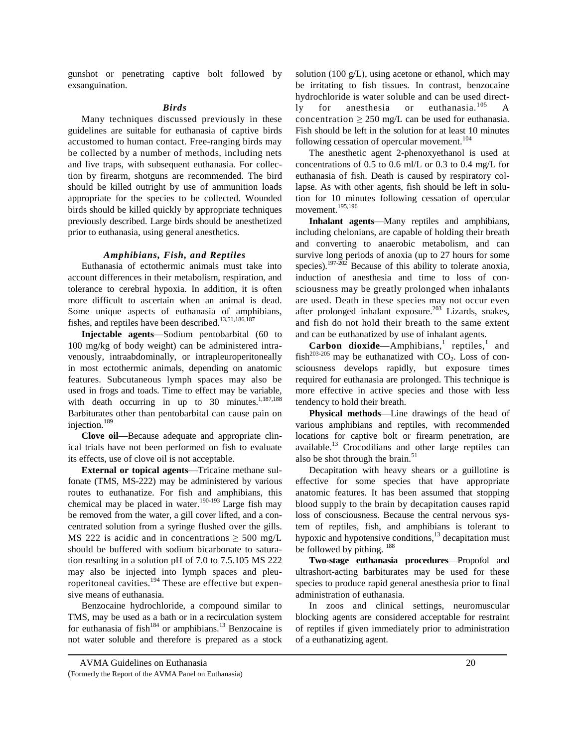gunshot or penetrating captive bolt followed by exsanguination.

#### <span id="page-22-0"></span>*Birds*

Many techniques discussed previously in these guidelines are suitable for euthanasia of captive birds accustomed to human contact. Free-ranging birds may be collected by a number of methods, including nets and live traps, with subsequent euthanasia. For collection by firearm, shotguns are recommended. The bird should be killed outright by use of ammunition loads appropriate for the species to be collected. Wounded birds should be killed quickly by appropriate techniques previously described. Large birds should be anesthetized prior to euthanasia, using general anesthetics.

#### <span id="page-22-1"></span>*Amphibians, Fish, and Reptiles*

Euthanasia of ectothermic animals must take into account differences in their metabolism, respiration, and tolerance to cerebral hypoxia. In addition, it is often more difficult to ascertain when an animal is dead. Some unique aspects of euthanasia of amphibians, fishes, and reptiles have been described.<sup>13,51,186,187</sup>

**Injectable agents**—Sodium pentobarbital (60 to 100 mg/kg of body weight) can be administered intravenously, intraabdominally, or intrapleuroperitoneally in most ectothermic animals, depending on anatomic features. Subcutaneous lymph spaces may also be used in frogs and toads. Time to effect may be variable, with death occurring in up to  $30$  minutes.<sup>1,187,188</sup> Barbiturates other than pentobarbital can cause pain on injection.<sup>189</sup>

**Clove oil**—Because adequate and appropriate clinical trials have not been performed on fish to evaluate its effects, use of clove oil is not acceptable.

**External or topical agents**—Tricaine methane sulfonate (TMS, MS-222) may be administered by various routes to euthanatize. For fish and amphibians, this chemical may be placed in water.<sup>190-193</sup> Large fish may be removed from the water, a gill cover lifted, and a concentrated solution from a syringe flushed over the gills. MS 222 is acidic and in concentrations  $\geq$  500 mg/L should be buffered with sodium bicarbonate to saturation resulting in a solution pH of 7.0 to 7.5.105 MS 222 may also be injected into lymph spaces and pleuroperitoneal cavities.<sup>194</sup> These are effective but expensive means of euthanasia.

Benzocaine hydrochloride, a compound similar to TMS, may be used as a bath or in a recirculation system for euthanasia of fish<sup>184</sup> or amphibians.<sup>13</sup> Benzocaine is o not water soluble and therefore is prepared as a stock

solution (100  $g/L$ ), using acetone or ethanol, which may be irritating to fish tissues. In contrast, benzocaine hydrochloride is water soluble and can be used directly for anesthesia or euthanasia.<sup>105</sup> A concentration  $\geq 250$  mg/L can be used for euthanasia. Fish should be left in the solution for at least 10 minutes following cessation of opercular movement. $104$ 

The anesthetic agent 2-phenoxyethanol is used at concentrations of 0.5 to 0.6 ml/L or 0.3 to 0.4 mg/L for euthanasia of fish. Death is caused by respiratory collapse. As with other agents, fish should be left in solution for 10 minutes following cessation of opercular movement.<sup>195,196</sup>

**Inhalant agents**—Many reptiles and amphibians, including chelonians, are capable of holding their breath and converting to anaerobic metabolism, and can survive long periods of anoxia (up to 27 hours for some species).<sup>197-202</sup> Because of this ability to tolerate anoxia, induction of anesthesia and time to loss of consciousness may be greatly prolonged when inhalants are used. Death in these species may not occur even after prolonged inhalant exposure.<sup>203</sup> Lizards, snakes, and fish do not hold their breath to the same extent and can be euthanatized by use of inhalant agents.

**Carbon dioxide**—Amphibians,<sup>1</sup> reptiles,<sup>1</sup> and  $fish^{203-205}$  may be euthanatized with  $CO_2$ . Loss of consciousness develops rapidly, but exposure times required for euthanasia are prolonged. This technique is more effective in active species and those with less tendency to hold their breath.

**Physical methods**—Line drawings of the head of various amphibians and reptiles, with recommended locations for captive bolt or firearm penetration, are available.<sup>13</sup> Crocodilians and other large reptiles can also be shot through the brain. $51$ 

Decapitation with heavy shears or a guillotine is effective for some species that have appropriate anatomic features. It has been assumed that stopping blood supply to the brain by decapitation causes rapid loss of consciousness. Because the central nervous system of reptiles, fish, and amphibians is tolerant to hypoxic and hypotensive conditions, $^{13}$  decapitation must be followed by pithing.  $^{188}$ 

**Two-stage euthanasia procedures**—Propofol and ultrashort-acting barbiturates may be used for these species to produce rapid general anesthesia prior to final administration of euthanasia.

In zoos and clinical settings, neuromuscular blocking agents are considered acceptable for restraint of reptiles if given immediately prior to administration of a euthanatizing agent.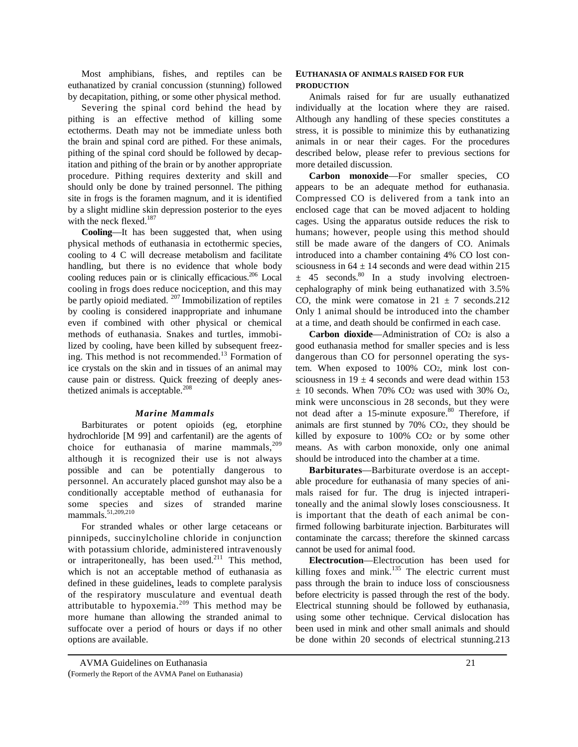Most amphibians, fishes, and reptiles can be euthanatized by cranial concussion (stunning) followed by decapitation, pithing, or some other physical method.

Severing the spinal cord behind the head by pithing is an effective method of killing some ectotherms. Death may not be immediate unless both the brain and spinal cord are pithed. For these animals, pithing of the spinal cord should be followed by decapitation and pithing of the brain or by another appropriate procedure. Pithing requires dexterity and skill and should only be done by trained personnel. The pithing site in frogs is the foramen magnum, and it is identified by a slight midline skin depression posterior to the eyes with the neck flexed.<sup>187</sup>

**Cooling**—It has been suggested that, when using physical methods of euthanasia in ectothermic species, cooling to 4 C will decrease metabolism and facilitate handling, but there is no evidence that whole body cooling reduces pain or is clinically efficacious. 206 Local cooling in frogs does reduce nociception, and this may be partly opioid mediated.  $207$  Immobilization of reptiles by cooling is considered inappropriate and inhumane even if combined with other physical or chemical methods of euthanasia. Snakes and turtles, immobilized by cooling, have been killed by subsequent freezing. This method is not recommended. 13 Formation of ice crystals on the skin and in tissues of an animal may cause pain or distress. Quick freezing of deeply anesthetized animals is acceptable.<sup>208</sup>

#### <span id="page-23-0"></span>*Marine Mammals*

Barbiturates or potent opioids (eg, etorphine hydrochloride [M 99] and carfentanil) are the agents of choice for euthanasia of marine mammals, 209 although it is recognized their use is not always possible and can be potentially dangerous to personnel. An accurately placed gunshot may also be a conditionally acceptable method of euthanasia for some species and sizes of stranded marine mammals. 51,209,210

For stranded whales or other large cetaceans or pinnipeds, succinylcholine chloride in conjunction with potassium chloride, administered intravenously or intraperitoneally, has been used.<sup>211</sup> This method, which is not an acceptable method of euthanasia as defined in these guidelines, leads to complete paralysis of the respiratory musculature and eventual death attributable to hypoxemia. $^{209}$  This method may be more humane than allowing the stranded animal to suffocate over a period of hours or days if no other options are available.

#### <span id="page-23-1"></span>**EUTHANASIA OF ANIMALS RAISED FOR FUR PRODUCTION**

Animals raised for fur are usually euthanatized individually at the location where they are raised. Although any handling of these species constitutes a stress, it is possible to minimize this by euthanatizing animals in or near their cages. For the procedures described below, please refer to previous sections for more detailed discussion.

**Carbon monoxide**—For smaller species, CO appears to be an adequate method for euthanasia. Compressed CO is delivered from a tank into an enclosed cage that can be moved adjacent to holding cages. Using the apparatus outside reduces the risk to humans; however, people using this method should still be made aware of the dangers of CO. Animals introduced into a chamber containing 4% CO lost consciousness in  $64 \pm 14$  seconds and were dead within 215  $\pm$  45 seconds.<sup>80</sup> In a study involving electroencephalography of mink being euthanatized with 3.5% CO, the mink were comatose in  $21 \pm 7$  seconds.212 Only 1 animal should be introduced into the chamber at a time, and death should be confirmed in each case.

**Carbon dioxide**—Administration of CO2 is also a good euthanasia method for smaller species and is less dangerous than CO for personnel operating the system. When exposed to 100% CO2, mink lost consciousness in  $19 \pm 4$  seconds and were dead within 153  $\pm$  10 seconds. When 70% CO<sub>2</sub> was used with 30% O<sub>2</sub>. mink were unconscious in 28 seconds, but they were not dead after a 15-minute exposure. 80 Therefore, if animals are first stunned by 70% CO2, they should be killed by exposure to 100% CO2 or by some other means. As with carbon monoxide, only one animal should be introduced into the chamber at a time.

**Barbiturates**—Barbiturate overdose is an acceptable procedure for euthanasia of many species of animals raised for fur. The drug is injected intraperitoneally and the animal slowly loses consciousness. It is important that the death of each animal be confirmed following barbiturate injection. Barbiturates will contaminate the carcass; therefore the skinned carcass cannot be used for animal food.

**Electrocution**—Electrocution has been used for killing foxes and mink.<sup>135</sup> The electric current must pass through the brain to induce loss of consciousness before electricity is passed through the rest of the body. Electrical stunning should be followed by euthanasia, using some other technique. Cervical dislocation has been used in mink and other small animals and should be done within 20 seconds of electrical stunning.213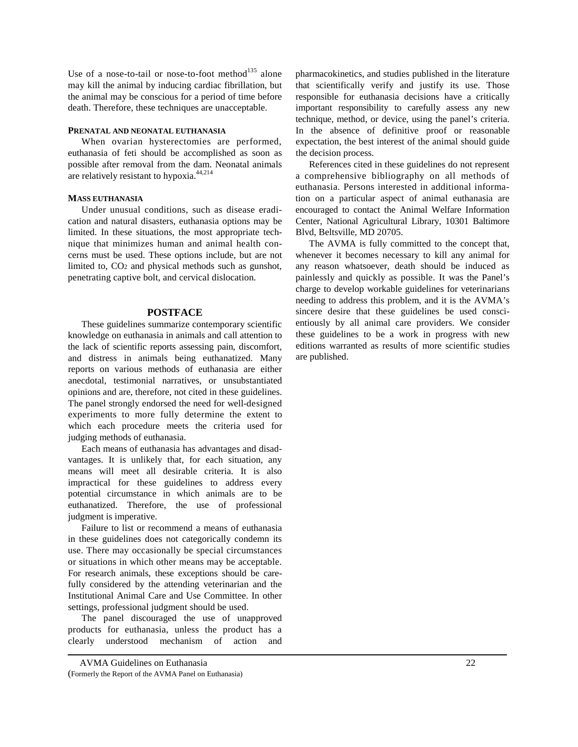Use of a nose-to-tail or nose-to-foot method $^{135}$  alone may kill the animal by inducing cardiac fibrillation, but the animal may be conscious for a period of time before death. Therefore, these techniques are unacceptable.

#### <span id="page-24-0"></span>**PRENATAL AND NEONATAL EUTHANASIA**

When ovarian hysterectomies are performed, euthanasia of feti should be accomplished as soon as possible after removal from the dam. Neonatal animals are relatively resistant to hypoxia.<sup>44,214</sup>

#### <span id="page-24-1"></span>**MASS EUTHANASIA**

Under unusual conditions, such as disease eradication and natural disasters, euthanasia options may be limited. In these situations, the most appropriate technique that minimizes human and animal health concerns must be used. These options include, but are not limited to, CO2 and physical methods such as gunshot, penetrating captive bolt, and cervical dislocation.

#### <span id="page-24-2"></span>**POSTFACE**

These guidelines summarize contemporary scientific knowledge on euthanasia in animals and call attention to the lack of scientific reports assessing pain, discomfort, and distress in animals being euthanatized. Many reports on various methods of euthanasia are either anecdotal, testimonial narratives, or unsubstantiated opinions and are, therefore, not cited in these guidelines. The panel strongly endorsed the need for well-designed experiments to more fully determine the extent to which each procedure meets the criteria used for judging methods of euthanasia.

Each means of euthanasia has advantages and disadvantages. It is unlikely that, for each situation, any means will meet all desirable criteria. It is also impractical for these guidelines to address every potential circumstance in which animals are to be euthanatized. Therefore, the use of professional judgment is imperative.

Failure to list or recommend a means of euthanasia in these guidelines does not categorically condemn its use. There may occasionally be special circumstances or situations in which other means may be acceptable. For research animals, these exceptions should be carefully considered by the attending veterinarian and the Institutional Animal Care and Use Committee. In other settings, professional judgment should be used.

The panel discouraged the use of unapproved products for euthanasia, unless the product has a clearly understood mechanism of action and

pharmacokinetics, and studies published in the literature that scientifically verify and justify its use. Those responsible for euthanasia decisions have a critically important responsibility to carefully assess any new technique, method, or device, using the panel's criteria. In the absence of definitive proof or reasonable expectation, the best interest of the animal should guide the decision process.

References cited in these guidelines do not represent a comprehensive bibliography on all methods of euthanasia. Persons interested in additional information on a particular aspect of animal euthanasia are encouraged to contact the Animal Welfare Information Center, National Agricultural Library, 10301 Baltimore Blvd, Beltsville, MD 20705.

The AVMA is fully committed to the concept that, whenever it becomes necessary to kill any animal for any reason whatsoever, death should be induced as painlessly and quickly as possible. It was the Panel's charge to develop workable guidelines for veterinarians needing to address this problem, and it is the AVMA's sincere desire that these guidelines be used conscientiously by all animal care providers. We consider these guidelines to be a work in progress with new editions warranted as results of more scientific studies are published.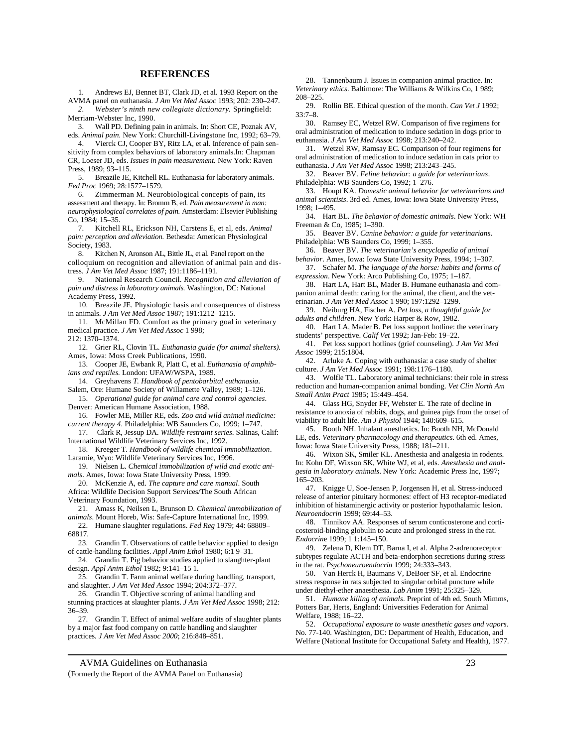#### <span id="page-25-0"></span>**REFERENCES**

1. Andrews EJ, Bennet BT, Clark JD, et al. 1993 Report on the AVMA panel on euthanasia. *J Am Vet Med Assoc* 1993; 202: 230–247. *2. Webster's ninth new collegiate dictionary.* Springfield: Merriam-Webster Inc, 1990.

3. Wall PD. Defining pain in animals. In: Short CE, Poznak AV, eds. *Animal pain.* New York: Churchill-Livingstone Inc, 1992; 63–79.

Vierck CJ, Cooper BY, Ritz LA, et al. Inference of pain sensitivity from complex behaviors of laboratory animals.In: Chapman CR, Loeser JD, eds. *Issues in pain measurement.* New York: Raven Press, 1989; 93–115.

5. Breazile JE, Kitchell RL. Euthanasia for laboratory animals. *Fed Proc* 1969; 28:1577–1579.

6. Zimmerman M. Neurobiological concepts of pain, its assessment and therapy. In: Bromm B, ed. *Pain measurement in man: neurophysiological correlates of pain.* Amsterdam: Elsevier Publishing Co, 1984; 15–35.

7. Kitchell RL, Erickson NH, Carstens E, et al, eds. *Animal pain: perception and alleviation.* Bethesda: American Physiological Society, 1983.

8. Kitchen N, Aronson AL, Bittle JL, et al. Panel report on the colloquium on recognition and alleviation of animal pain and distress. *J Am Vet Med Assoc* 1987; 191:1186–1191.

9. National Research Council. *Recognition and alleviation of pain and distress in laboratory animals.* Washington, DC: National Academy Press, 1992.

10. Breazile JE. Physiologic basis and consequences of distress in animals. *J Am Vet Med Assoc* 1987; 191:1212–1215.

11. McMillan FD. Comfort as the primary goal in veterinary medical practice. *J Am Vet Med Assoc* 1 998; 212: 1370–1374.

12. Grier RL, Clovin TL. *Euthanasia guide (for animal shelters).*  Ames, Iowa: Moss Creek Publications, 1990.

13. Cooper JE, Ewbank R, Platt C, et al. *Euthanasia of amphibians and reptiles.* London: UFAW/WSPA, 1989.

14. Greyhavens *T. Handbook of pentobarbital euthanasia*.

Salem, Ore: Humane Society of Willamette Valley, 1989; 1–126. 15. *Operational guide for animal care and control agencies*. Denver: American Humane Association, 1988.

16. Fowler ME, Miller RE, eds. *Zoo and wild animal medicine: current therapy 4*. Philadelphia: WB Saunders Co, 1999; 1–747.

17. Clark R, Jessup DA. *Wildlife restraint series*. Salinas, Calif: International Wildlife Veterinary Services Inc, 1992.

18. Kreeger T. *Handbook of wildlife chemical immobilization*. Laramie, Wyo: Wildlife Veterinary Services Inc, 1996.

19. Nielsen L. *Chemical immobilization of wild and exotic animals*. Ames, Iowa: Iowa State University Press, 1999.

20. McKenzie A, ed. *The capture and care manual*. South Africa: Wildlife Decision Support Services/The South African Veterinary Foundation, 1993.

21. Amass K, Neilsen L, Brunson D. *Chemical immobilization of animals*. Mount Horeb, Wis: Safe-Capture International Inc, 1999.

22. Humane slaughter regulations. *Fed Reg* 1979; 44: 68809– 68817.

23. Grandin T. Observations of cattle behavior applied to design of cattle-handling facilities. *Appl Anim Ethol* 1980; 6:1 9–31.

24. Grandin T. Pig behavior studies applied to slaughter-plant design. *Appl Anim Ethol* 1982; 9:141–15 1.

25. Grandin T. Farm animal welfare during handling, transport, and slaughter. *J Am Vet Med Assoc* 1994; 204:372–377.

26. Grandin T. Objective scoring of animal handling and stunning practices at slaughter plants. *J Am Vet Med Assoc* 1998; 212: 36–39.

27. Grandin T. Effect of animal welfare audits of slaughter plants by a major fast food company on cattle handling and slaughter practices. *J Am Vet Med Assoc 2000*; 216:848–851.

28. Tannenbaum J. Issues in companion animal practice. In: *Veterinary ethics*. Baltimore: The Williams & Wilkins Co, 1 989; 208–225.

29. Rollin BE. Ethical question of the month. *Can Vet J* 1992; 33:7–8.

30. Ramsey EC, Wetzel RW. Comparison of five regimens for oral administration of medication to induce sedation in dogs prior to euthanasia. *J Am Vet Med Assoc* 1998; 213:240–242.

31. Wetzel RW, Ramsay EC. Comparison of four regimens for oral administration of medication to induce sedation in cats prior to euthanasia. *J Am Vet Med Assoc* 1998; 213:243–245.

32. Beaver BV. *Feline behavior: a guide for veterinarians*. Philadelphia: WB Saunders Co, 1992; 1–276.

33. Houpt KA. *Domestic animal behavior for veterinarians and animal scientists*. 3rd ed. Ames, Iowa: Iowa State University Press, 1998; 1–495.

34. Hart BL. *The behavior of domestic animals*. New York: WH Freeman & Co, 1985; 1–390.

35. Beaver BV. *Canine behavior: a guide for veterinarians*. Philadelphia: WB Saunders Co, 1999; 1–355.

36. Beaver BV. *The veterinarian's encyclopedia of animal behavior*. Ames, Iowa: Iowa State University Press, 1994; 1–307.

37. Schafer M. *The language of the horse: habits and forms of expression*. New York: Arco Publishing Co, 1975; 1–187.

38. Hart LA, Hart BL, Mader B. Humane euthanasia and companion animal death: caring for the animal, the client, and the vet-

erinarian. *J Am Vet Med Assoc* 1 990; 197:1292–1299.

39. Neiburg HA, Fischer A. *Pet loss, a thoughtful guide for adults and children*. New York: Harper & Row, 1982.

40. Hart LA, Mader B. Pet loss support hotline: the veterinary students' perspective. *Calif Vet* 1992; Jan-Feb: 19–22.

41. Pet loss support hotlines (grief counseling). *J Am Vet Med Assoc* 1999; 215:1804.

42. Arluke A. Coping with euthanasia: a case study of shelter culture. *J Am Vet Med Assoc* 1991; 198:1176–1180.

43. Wolfle TL. Laboratory animal technicians: their role in stress reduction and human-companion animal bonding. *Vet Clin North Am Small Anim Pract* 1985; 15:449–454.

44. Glass HG, Snyder FF, Webster E. The rate of decline in resistance to anoxia of rabbits, dogs, and guinea pigs from the onset of viability to adult life. *Am J Physiol* 1944; 140:609–615.

45. Booth NH. Inhalant anesthetics. In: Booth NH, McDonald LE, eds. *Veterinary pharmacology and therapeutics*. 6th ed. Ames, Iowa: Iowa State University Press, 1988; 181–211.

46. Wixon SK, Smiler KL. Anesthesia and analgesia in rodents. In: Kohn DF, Wixson SK, White WJ, et al, eds. *Anesthesia and analgesia in laboratory animals*. New York: Academic Press Inc, 1997; 165–203.

47. Knigge U, Soe-Jensen P, Jorgensen H, et al. Stress-induced release of anterior pituitary hormones: effect of H3 receptor-mediated inhibition of histaminergic activity or posterior hypothalamic lesion. *Neuroendocrin* 1999; 69:44–53.

48. Tinnikov AA. Responses of serum conticosterone and corticosteroid-binding globulin to acute and prolonged stress in the rat. *Endocrin*e 1999; 1 1:145–150.

49. Zelena D, Klem DT, Barna I, et al. Alpha 2-adrenoreceptor subtypes regulate ACTH and beta-endorphon secretions during stress in the rat. *Psychoneuroendocrin* 1999; 24:333–343.

50. Van Herck H, Baumans V, DeBoer SF, et al. Endocrine stress response in rats subjected to singular orbital puncture while under diethyl-ether anaesthesia. *Lab Anim* 1991; 25:325–329.

51. *Humane killing of animals*. Preprint of 4th ed. South Mimms, Potters Bar, Herts, England: Universities Federation for Animal Welfare, 1988; 16–22.

52. *Occupational exposure to waste anesthetic gases and vapors*. No. 77-140. Washington, DC: Department of Health, Education, and Welfare (National Institute for Occupational Safety and Health), 1977.

#### AVMA Guidelines on Euthanasia 23

(Formerly the Report of the AVMA Panel on Euthanasia)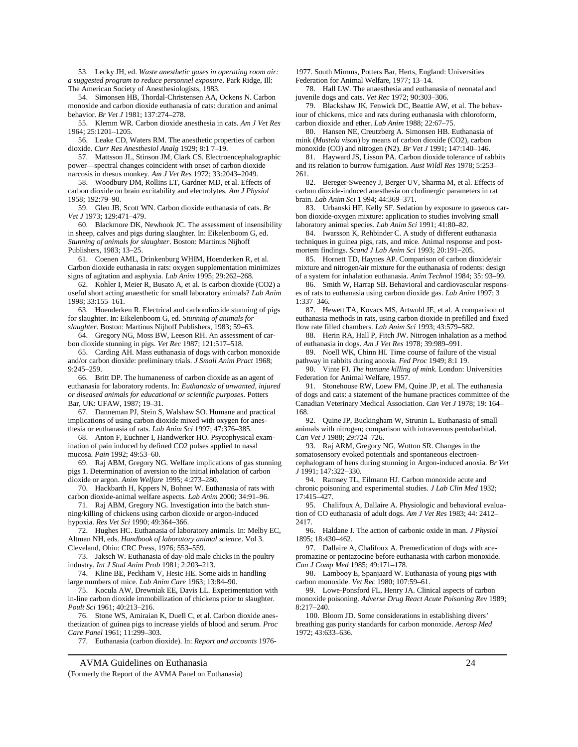53. Lecky JH, ed. *Waste anesthetic gases in operating room air: a suggested program to reduce personnel exposure*. Park Ridge, Ill: The American Society of Anesthesiologists, 1983.

54. Simonsen HB, Thordal-Christensen AA, Ockens N. Carbon monoxide and carbon dioxide euthanasia of cats: duration and animal behavior. *Br Vet J* 1981; 137:274–278.

55. Klemm WR. Carbon dioxide anesthesia in cats. *Am J Vet Res*  1964; 25:1201–1205.

56. Leake CD, Waters RM. The anesthetic properties of carbon dioxide. *Curr Res Anesthesiol Analg* 1929; 8:1 7–19.

57. Mattsson JL, Stinson JM, Clark CS. Electroencephalographic power—spectral changes coincident with onset of carbon dioxide narcosis in rhesus monkey. *Am J Vet Res* 1972; 33:2043–2049.

58. Woodbury DM, Rollins LT, Gardner MD, et al. Effects of carbon dioxide on brain excitability and electrolytes. *Am J Physiol*  1958; 192:79–90.

59. Glen JB, Scott WN. Carbon dioxide euthanasia of cats. *Br Vet J* 1973; 129:471–479.

60. Blackmore DK, Newhook JC. The assessment of insensibility in sheep, calves and pigs during slaughter. In: Eikelenboom G, ed. *Stunning of animals for slaughter*. Boston: Martinus Nijhoff Publishers, 1983; 13–25.

61. Coenen AML, Drinkenburg WHIM, Hoenderken R, et al. Carbon dioxide euthanasia in rats: oxygen supplementation minimizes signs of agitation and asphyxia*. Lab Anim* 1995; 29:262–268.

62. Kohler I, Meier R, Busato A, et al. Is carbon dioxide (CO2) a useful short acting anaesthetic for small laboratory animals? *Lab Anim*  1998; 33:155–161.

63. Hoenderken R. Electrical and carbondioxide stunning of pigs for slaughter. In: Eikelenboom G, ed. *Stunning of animals for slaughter*. Boston: Martinus Nijhoff Publishers, 1983; 59–63.

64. Gregory NG, Moss BW, Leeson RH. An assessment of carbon dioxide stunning in pigs. *Vet Rec* 1987; 121:517–518.

65. Carding AH. Mass euthanasia of dogs with carbon monoxide and/or carbon dioxide: preliminary trials. *J Small Anim Pract* 1968; 9:245–259.

66. Britt DP. The humaneness of carbon dioxide as an agent of euthanasia for laboratory rodents. In: *Euthanasia of unwanted, injured or diseased animals for educational or scientific purposes*. Potters Bar, UK: UFAW, 1987; 19–31.

67. Danneman PJ, Stein S, Walshaw SO. Humane and practical implications of using carbon dioxide mixed with oxygen for anesthesia or euthanasia of rats. *Lab Anim Sci* 1997; 47:376–385.

68. Anton F, Euchner I, Handwerker HO. Psycophysical examination of pain induced by defined CO2 pulses applied to nasal mucosa. *Pain* 1992; 49:53–60.

69. Raj ABM, Gregory NG. Welfare implications of gas stunning pigs 1. Determination of aversion to the initial inhalation of carbon dioxide or argon. *Anim Welfare* 1995; 4:273–280.

70. Hackbarth H, Kppers N, Bohnet W. Euthanasia of rats with carbon dioxide-animal welfare aspects. *Lab Anim* 2000; 34:91–96.

71. Raj ABM, Gregory NG. Investigation into the batch stunning/killing of chickens using carbon dioxide or argon-induced hypoxia. *Res Vet Sci* 1990; 49:364–366.

72. Hughes HC. Euthanasia of laboratory animals. In: Melby EC, Altman NH, eds. *Handbook of laboratory animal science*. Vol 3. Cleveland, Ohio: CRC Press, 1976; 553–559.

73. Jaksch W. Euthanasia of day-old male chicks in the poultry industry. *Int J Stud Anim Prob* 1981; 2:203–213.

74. Kline BE, Peckham V, Hesic HE. Some aids in handling large numbers of mice*. Lab Anim Care* 1963; 13:84–90.

75. Kocula AW, Drewniak EE, Davis LL. Experimentation with in-line carbon dioxide immobilization of chickens prior to slaughter. *Poult Sci* 1961; 40:213–216.

76. Stone WS, Amiraian K, DueIl C, et al. Carbon dioxide anesthetization of guinea pigs to increase yields of blood and serum. *Proc Care Panel* 1961; 11:299–303.

77. Euthanasia (carbon dioxide). In: *Report and accounts* 1976

#### AVMA Guidelines on Euthanasia 24

(Formerly the Report of the AVMA Panel on Euthanasia)

1977. South Mimms, Potters Bar, Herts, England: Universities Federation for Animal Welfare, 1977; 13–14.

78. Hall LW. The anaesthesia and euthanasia of neonatal and juvenile dogs and cats. *Vet Rec* 1972; 90:303–306.

79. Blackshaw JK, Fenwick DC, Beattie AW, et al. The behaviour of chickens, mice and rats during euthanasia with chloroform, carbon dioxide and ether. *Lab Anim* 1988; 22:67–75.

80. Hansen NE, Creutzberg A. Simonsen HB. Euthanasia of mink (*Mustela vison*) by means of carbon dioxide (CO2), carbon monoxide (CO) and nitrogen (N2). *Br Vet J* 1991; 147:140–146.

81. Hayward JS, Lisson PA. Carbon dioxide tolerance of rabbits and its relation to burrow fumigation. *Aust Wildl Res* 1978; 5:253– 261.

82. Bereger-Sweeney J, Berger UV, Sharma M, et al. Effects of carbon dioxide-induced anesthesia on cholinergic parameters in rat brain. *Lab Anim Sci* 1 994; 44:369–371.

83. Urbanski HF, Kelly SF. Sedation by exposure to gaseous carbon dioxide-oxygen mixture: application to studies involving small laboratory animal species. *Lab Anim Sci* 1991; 41:80–82.

84. Iwarsson K, Rehbinder C. A study of different euthanasia techniques in guinea pigs, rats, and mice. Animal response and postmortem findings. *Scand J Lab Anim Sci* 1993; 20:191–205.

85. Hornett TD, Haynes AP. Comparison of carbon dioxide/air mixture and nitrogen/air mixture for the euthanasia of rodents: design of a system for inhalation euthanasia. *Anim Technol* 1984; 35: 93–99.

86. Smith W, Harrap SB. Behavioral and cardiovascular responses of rats to euthanasia using carbon dioxide gas. *Lab Anim* 1997; 3 1:337–346.

87. Hewett TA, Kovacs MS, Artwohl JE, et al. A comparison of euthanasia methods in rats, using carbon dioxide in prefilled and fixed flow rate filled chambers. *Lab Anim Sci* 1993; 43:579–582.

88. Herin RA, Hall P, Fitch JW. Nitrogen inhalation as a method of euthanasia in dogs. *Am J Vet Res* 1978; 39:989–991.

89. Noell WK, Chinn HI. Time course of failure of the visual pathway in rabbits during anoxia. *Fed Proc* 1949; 8:1 19.

90. Vinte FJ. *The humane killing of mink*. London: Universities Federation for Animal Welfare, 1957.

91. Stonehouse RW, Loew FM, Quine JP, et al. The euthanasia of dogs and cats: a statement of the humane practices committee of the Canadian Veterinary Medical Association. *Can Vet J* 1978; 19: 164– 168.

92. Quine JP, Buckingham W, Strunin L. Euthanasia of small animals with nitrogen; comparison with intravenous pentobarbital. *Can Vet J* 1988; 29:724–726.

93. Raj ARM, Gregory NG, Wotton SR. Changes in the somatosensory evoked potentials and spontaneous electroencephalogram of hens during stunning in Argon-induced anoxia. *Br Vet J* 1991; 147:322–330.

94. Ramsey TL, Eilmann HJ. Carbon monoxide acute and chronic poisoning and experimental studies. *J Lab Clin Med* 1932; 17:415–427.

95. Chalifoux A, Dallaire A. Physiologic and behavioral evaluation of CO euthanasia of adult dogs. *Am J Vet Res* 1983; 44: 2412– 2417.

96. Haldane J. The action of carbonic oxide in man. *J Physiol*  1895; 18:430–462.

97. Dallaire A, Chalifoux A. Premedication of dogs with acepromazine or pentazocine before euthanasia with carbon monoxide. *Can J Comp Med* 1985; 49:171–178.

98. Lambooy E, Spanjaard W. Euthanasia of young pigs with carbon monoxide. *Vet Rec* 1980; 107:59–61.

99. Lowe-Ponsford FL, Henry JA. Clinical aspects of carbon monoxide poisoning. *Adverse Drug React Acute Poisoning Rev* 1989; 8:217–240.

100. Bloom JD. Some considerations in establishing divers' breathing gas purity standards for carbon monoxide. *Aerosp Med*  1972; 43:633–636.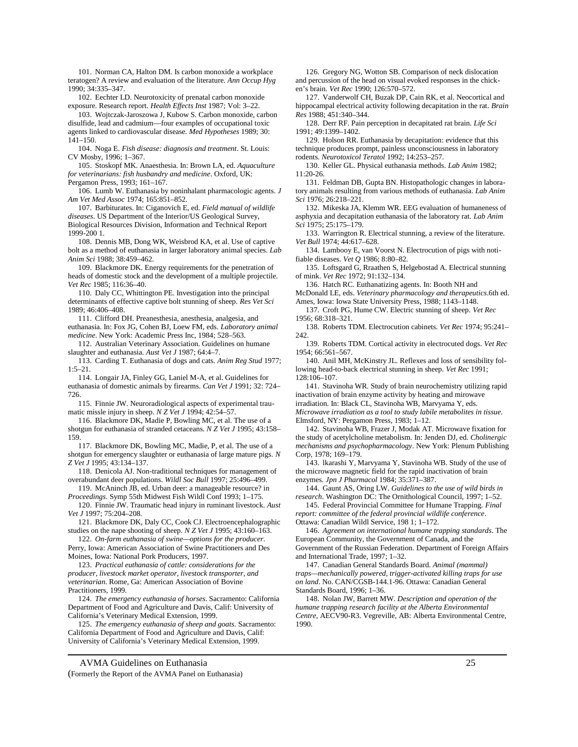101. Norman CA, Halton DM. Is carbon monoxide a workplace teratogen? A review and evaluation of the literature. *Ann Occup Hyg*  1990; 34:335–347.

102. Eechter LD. Neurotoxicity of prenatal carbon monoxide exposure. Research report. *Health Effects Inst* 1987; Vol: 3–22.

103. Wojtczak-Jaroszowa J, Kubow S. Carbon monoxide, carbon disulfide, lead and cadmium—four examples of occupational toxic agents linked to cardiovascular disease. *Med Hypotheses* 1989; 30: 141–150.

104. Noga E. *Fish disease: diagnosis and treatment*. St. Louis: CV Mosby, 1996; 1–367.

105. Stoskopf MK. Anaesthesia. In: Brown LA, ed. *Aquaculture for veterinarians: fish husbandry and medicine*. Oxford, UK: Pergamon Press, 1993; 161–167.

106. Lumb W. Euthanasia by noninhalant pharmacologic agents. *J Am Vet Med Assoc* 1974; 165:851–852.

107. Barbiturates. In: Ciganovich E, ed. *Field manual of wildlife diseases*. US Department of the Interior/US Geological Survey, Biological Resources Division, Information and Technical Report 1999-200 1.

108. Dennis MB, Dong WK, Weisbrod KA, et al. Use of captive bolt as a method of euthanasia in larger laboratory animal species. *Lab Anim Sci* 1988; 38:459–462.

109. Blackmore DK. Energy requirements for the penetration of heads of domestic stock and the development of a multiple projectile. *Vet Rec* 1985; 116:36–40.

110. Daly CC, Whittington PE. Investigation into the principal determinants of effective captive bolt stunning of sheep. *Res Vet Sci*  1989; 46:406–408.

111. Clifford DH. Preanesthesia, anesthesia, analgesia, and euthanasia. In: Fox JG, Cohen BJ, Loew FM, eds. *Laboratory animal medicine*. New York: Academic Press Inc, 1984; 528–563.

112. Australian Veterinary Association. Guidelines on humane slaughter and euthanasia. *Aust Vet J* 1987; 64:4–7.

113. Carding T. Euthanasia of dogs and cats. *Anim Reg Stud* 1977; 1:5–21.

114. Longair JA, Finley GG, Laniel M-A, et al. Guidelines for euthanasia of domestic animals by firearms. *Can Vet J* 1991; 32: 724– 726.

115. Finnie JW. Neuroradiological aspects of experimental traumatic missle injury in sheep. *N Z Vet J* 1994; 42:54–57.

116. Blackmore DK, Madie P, Bowling MC, et al. The use of a shotgun for euthanasia of stranded cetaceans. *N Z Vet J* 1995; 43:158– 159.

117. Blackmore DK, Bowling MC, Madie, P, et al. The use of a shotgun for emergency slaughter or euthanasia of large mature pigs. *N Z Vet J* 1995; 43:134–137.

118. Denicola AJ. Non-traditional techniques for management of overabundant deer populations. *Wildl Soc Bull* 1997; 25:496–499.

119. McAninch JB, ed. Urban deer: a manageable resource? in *Proceedings*. Symp 55th Midwest Fish Wildl Conf 1993; 1–175.

120. Finnie JW. Traumatic head injury in ruminant livestock. *Aust Vet J* 1997; 75:204–208.

121. Blackmore DK, Daly CC, Cook CJ. Electroencephalographic studies on the nape shooting of sheep. *N Z Vet J* 1995; 43:160–163.

122. *On-farm euthanasia of swine—options for the producer*. Perry, Iowa: American Association of Swine Practitioners and Des Moines, Iowa: National Pork Producers, 1997.

123. *Practical euthanasia of cattle: considerations for the producer, livestock market operator, livestock transporter, and veterinarian*. Rome, Ga: American Association of Bovine Practitioners, 1999.

124. *The emergency euthanasia of horses*. Sacramento: California Department of Food and Agriculture and Davis, Calif: University of California's Veterinary Medical Extension, 1999.

125. *The emergency euthanasia of sheep and goats*. Sacramento: California Department of Food and Agriculture and Davis, Calif: University of California's Veterinary Medical Extension, 1999.

126. Gregory NG, Wotton SB. Comparison of neck dislocation and percussion of the head on visual evoked responses in the chicken's brain. *Vet Rec* 1990; 126:570–572.

127. Vanderwolf CH, Buzak DP, Cain RK, et al. Neocortical and hippocampal electrical activity following decapitation in the rat. *Brain Res* 1988; 451:340–344.

128. Derr RF. Pain perception in decapitated rat brain. *Life Sci*  1991; 49:1399–1402.

129. Holson RR. Euthanasia by decapitation: evidence that this technique produces prompt, painless unconsciousness in laboratory rodents. *Neurotoxicol Teratol* 1992; 14:253–257.

130. Keller GL. Physical euthanasia methods. *Lab Anim* 1982; 11:20-26.

131. Feldman DB, Gupta BN. Histopathologic changes in laboratory animals resulting from various methods of euthanasia. *Lab Anim Sci* 1976; 26:218–221.

132. Mikeska JA, Klemm WR. EEG evaluation of humaneness of asphyxia and decapitation euthanasia of the laboratory rat. *Lab Anim Sci* 1975; 25:175–179.

133. Warrington R. Electrical stunning, a review of the literature. *Vet Bull* 1974; 44:617–628.

134. Lambooy E, van Voorst N. Electrocution of pigs with notifiable diseases. *Vet Q* 1986; 8:80–82.

135. Loftsgard G, Rraathen S, Helgebostad A. Electrical stunning of mink. *Vet Rec* 1972; 91:132–134.

136. Hatch RC. Euthanatizing agents. In: Booth NH and McDonald LE, eds. *Veterinary pharmacology and therapeutics*.6th ed.

Ames, Iowa: Iowa State University Press, 1988; 1143–1148.

137. Croft PG, Hume CW. Electric stunning of sheep. *Vet Rec*  1956; 68:318–321.

138. Roberts TDM. Electrocution cabinets. *Vet Rec* 1974; 95:241– 242.

139. Roberts TDM. Cortical activity in electrocuted dogs. *Vet Rec*  1954; 66:561–567.

140. Anil MH, McKinstry JL. Reflexes and loss of sensibility following head-to-back electrical stunning in sheep. *Vet Rec* 1991; 128:106–107.

141. Stavinoha WR. Study of brain neurochemistry utilizing rapid inactivation of brain enzyme activity by heating and mirowave irradiation. In: Black CL, Stavinoha WB, Marvyama Y, eds. *Microwave irradiation as a tool to study labile metabolites in tissue*.

Elmsford, NY: Pergamon Press, 1983; 1–12. 142. Stavinoha WB, Frazer J, Modak AT. Microwave fixation for

the study of acetylcholine metabolism. In: Jenden DJ, ed. *Cholinergic mechanisms and psychopharmacology*. New York: Plenum Publishing Corp, 1978; 169–179.

143. lkarashi Y, Marvyama Y, Stavinoha WB. Study of the use of the microwave magnetic field for the rapid inactivation of brain enzymes. *Jpn J Pharmacol* 1984; 35:371–387.

144. Gaunt AS, Oring LW. *Guidelines to the use of wild birds in research*. Washington DC: The Ornithological Council, 1997; 1–52.

145. Federal Provincial Committee for Humane Trapping. *Final report: committee of the federal provincial wildlife conference*.

Ottawa: Canadian Wildl Service, 198 1; 1–172. 146. *Agreement on international humane trapping standards*. The

European Community, the Government of Canada, and the Government of the Russian Federation. Department of Foreign Affairs and International Trade, 1997; 1–32.

147. Canadian General Standards Board. *Animal (mammal) traps—mechanically powered, trigger-activated killing traps for use on land*. No. CAN/CGSB-144.1-96. Ottawa: Canadian General Standards Board, 1996; 1–36.

148. Nolan JW, Barrett MW*. Description and operation of the humane trapping research facility at the Alberta Environmental Centre*, AECV90-R3. Vegreville, AB: Alberta Environmental Centre, 1990.

#### AVMA Guidelines on Euthanasia 25

(Formerly the Report of the AVMA Panel on Euthanasia)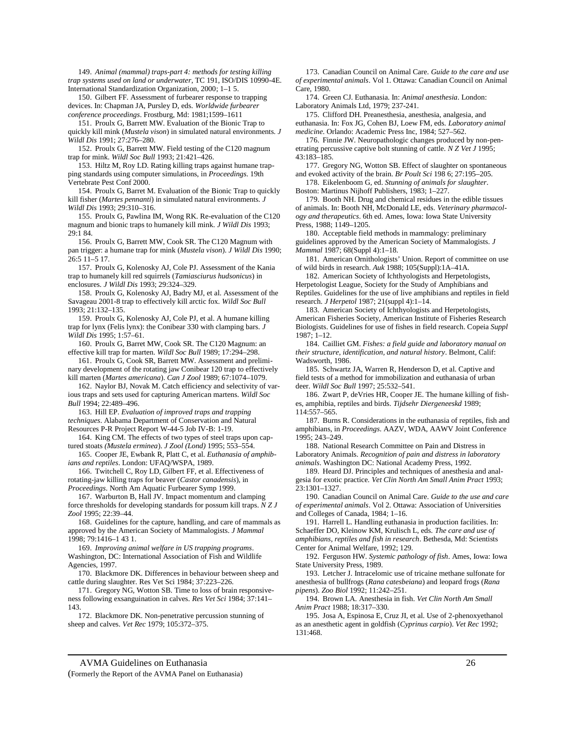149. *Animal (mammal) traps-part 4: methods for testing killing trap systems used on land or underwater*, TC 191, ISO/DIS 10990-4E. International Standardization Organization, 2000; 1–1 5.

150. Gilbert FF. Assessment of furbearer response to trapping devices. In: Chapman JA, Pursley D, eds. *Worldwide furbearer conference proceedings*. Frostburg, Md: 1981;1599–1611

151. Proulx G, Barrett MW. Evaluation of the Bionic Trap to quickly kill mink (*Mustela vison*) in simulated natural environments*. J Wildl Dis* 1991; 27:276–280.

152. Proulx G, Barrett MW. Field testing of the C120 magnum trap for mink. *Wildl Soc Bull* 1993; 21:421–426.

153. Hiltz M, Roy LD. Rating killing traps against humane trapping standards using computer simulations, in *Proceedings*. 19th Vertebrate Pest Conf 2000.

154. Proulx G, Barret M. Evaluation of the Bionic Trap to quickly kill fisher (*Martes pennanti*) in simulated natural environments. *J Wildl Dis* 1993; 29:310–316.

155. Proulx G, Pawlina IM, Wong RK. Re-evaluation of the C120 magnum and bionic traps to humanely kill mink. *J Wildl Dis* 1993; 29:1 84.

156. Proulx G, Barrett MW, Cook SR. The C120 Magnum with pan trigger: a humane trap for mink (*Mustela vison*). *J Wildl Dis* 1990; 26:5 11–5 17.

157. Proulx G, Kolenosky AJ, Cole PJ. Assessment of the Kania trap to humanely kill red squirrels (*Tamiasciurus hudsonicus*) in enclosures. *J Wildl Dis* 1993; 29:324–329.

158. Proulx G, Kolenosky AJ, Badry MJ, et al. Assessment of the Savageau 2001-8 trap to effectively kill arctic fox. *Wildl Soc Bull*  1993; 21:132–135.

159. Proulx G, Kolenosky AJ, Cole PJ, et al. A humane killing trap for lynx (Felis lynx): the Conibear 330 with clamping bars*. J Wildl Dis* 1995; 1:57–61.

160. Proulx G, Barret MW, Cook SR. The C120 Magnum: an effective kill trap for marten. *Wildl Soc Bull* 1989; 17:294–298.

161. Proulx G, Cook SR, Barrett MW. Assessment and preliminary development of the rotating jaw Conibear 120 trap to effectively kill marten (*Martes americana*). *Can J Zool* 1989; 67:1074–1079.

162. Naylor BJ, Novak M. Catch efficiency and selectivity of various traps and sets used for capturing American martens. *Wildl Soc Bull* 1994; 22:489–496.

163. Hill EP. *Evaluation of improved traps and trapping techniques*. Alabama Department of Conservation and Natural Resources P-R Project Report W-44-5 Job IV-B: 1-19.

164. King CM. The effects of two types of steel traps upon captured stoats *(Mustela erminea*). *J Zool (Lond)* 1995; 553–554.

165. Cooper JE, Ewbank R, Platt C, et al. *Euthanasia of amphibians and reptiles*. London: UFAQ/WSPA, 1989.

166. Twitchell C, Roy LD, Gilbert FF, et al. Effectiveness of rotating-jaw killing traps for beaver (*Castor canadensis*), in *Proceedings*. North Am Aquatic Furbearer Symp 1999.

167. Warburton B, Hall JV. Impact momentum and clamping force thresholds for developing standards for possum kill traps. *N Z J Zool* 1995; 22:39–44.

168. Guidelines for the capture, handling, and care of mammals as approved by the American Society of Mammalogists. *J Mammal*  1998; 79:1416–1 43 1.

169. *Improving animal welfare in US trapping programs*. Washington, DC: International Association of Fish and Wildlife Agencies, 1997.

170. Blackmore DK. Differences in behaviour between sheep and cattle during slaughter. Res Vet Sci 1984; 37:223–226.

171. Gregory NG, Wotton SB. Time to loss of brain responsiveness following exsanguination in calves. *Res Vet Sci* 1984; 37:141– 143.

172. Blackmore DK. Non-penetrative percussion stunning of sheep and calves. *Vet Rec* 1979; 105:372–375.

173. Canadian Council on Animal Care. *Guide to the care and use of experimental animals*. Vol 1. Ottawa: Canadian Council on Animal Care, 1980.

174. Green CJ. Euthanasia. In: *Animal anesthesia*. London: Laboratory Animals Ltd, 1979; 237-241.

175. Clifford DH. Preanesthesia, anesthesia, analgesia, and euthanasia. In: Fox JG, Cohen BJ, Loew FM, eds. *Laboratory animal medicine*. Orlando: Academic Press Inc, 1984; 527–562.

176. Finnie JW. Neuropathologic changes produced by non-penetrating percussive captive bolt stunning of cattle. *N Z Vet J* 1995; 43:183–185.

177. Gregory NG, Wotton SB. Effect of slaughter on spontaneous and evoked activity of the brain. *Br Poult Sci* 198 6; 27:195–205.

178. Eikelenboom G, ed. *Stunning of animals for slaughter*. Boston: Martinus Nijhoff Publishers, 1983; 1–227.

179. Booth NH. Drug and chemical residues in the edible tissues of animals. In: Booth NH, McDonald LE, eds. *Veterinary pharmacology and therapeutics*. 6th ed. Ames, Iowa: Iowa State University Press, 1988; 1149–1205.

180. Acceptable field methods in mammalogy: preliminary guidelines approved by the American Society of Mammalogists. *J Mammal* 1987; 68(Suppl 4):1–18.

181. American Ornithologists' Union. Report of committee on use of wild birds in research. *Auk* 1988; 105(Suppl):1A–41A.

182. American Society of Ichthyologists and Herpetologists, Herpetologist League, Society for the Study of Amphibians and Reptiles. Guidelines for the use of live amphibians and reptiles in field research. *J Herpetol* 1987; 21(suppl 4):1–14.

183. American Society of Ichthyologists and Herpetologists, American Fisheries Society, American Institute of Fisheries Research Biologists. Guidelines for use of fishes in field research. Copeia *Suppl*  1987; 1–12.

184. Cailliet GM. *Fishes: a field guide and laboratory manual on their structure, identification, and natural history*. Belmont, Calif: Wadsworth, 1986.

185. Schwartz JA, Warren R, Henderson D, et al. Captive and field tests of a method for immobilization and euthanasia of urban deer. *Wildl Soc Bull* 1997; 25:532–541.

186. Zwart P, deVries HR, Cooper JE. The humane killing of fishes, amphibia, reptiles and birds. *Tijdsehr Diergeneeskd* 1989; 114:557–565.

187. Burns R. Considerations in the euthanasia of reptiles, fish and amphibians, in *Proceedings*. AAZV, WDA, AAWV Joint Conference 1995; 243–249.

188. National Research Committee on Pain and Distress in Laboratory Animals. *Recognition of pain and distress in laboratory animals*. Washington DC: National Academy Press, 1992.

189. Heard DJ. Principles and techniques of anesthesia and analgesia for exotic practice*. Vet Clin North Am Small Anim Pract* 1993; 23:1301–1327.

190. Canadian Council on Animal Care. *Guide to the use and care of experimental animals*. Vol 2. Ottawa: Association of Universities and Colleges of Canada, 1984; 1–16.

191. Harrell L. Handling euthanasia in production facilities. In: Schaeffer DO, Kleinow KM, Krulisch L, eds. *The care and use of amphibians, reptiles and fish in research*. Bethesda, Md: Scientists Center for Animal Welfare, 1992; 129.

192. Ferguson HW. *Systemic pathology of fish*. Ames, Iowa: Iowa State University Press, 1989.

193. Letcher J. Intracelomic use of tricaine methane sulfonate for anesthesia of bullfrogs (*Rana catesbeiana*) and leopard frogs (*Rana pipens*). *Zoo Biol* 1992; 11:242–251.

194. Brown LA. Anesthesia in fish. *Vet Clin North Am Small Anim Pract* 1988; 18:317–330.

195. Josa A, Espinosa E, Cruz JI, et al. Use of 2-phenoxyethanol as an anesthetic agent in goldfish (*Cyprinus carpio*). *Vet Rec* 1992; 131:468.

#### AVMA Guidelines on Euthanasia 26

(Formerly the Report of the AVMA Panel on Euthanasia)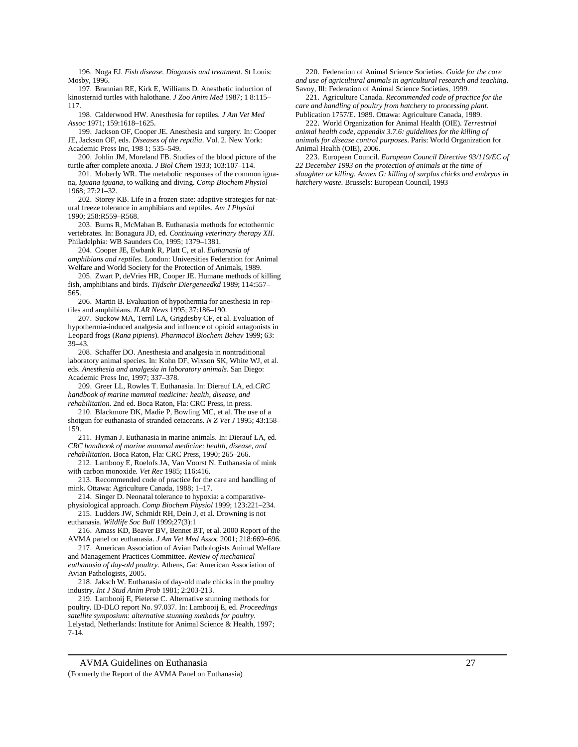196. Noga EJ. *Fish disease. Diagnosis and treatment*. St Louis: Mosby, 1996.

197. Brannian RE, Kirk E, Williams D. Anesthetic induction of kinosternid turtles with halothane. *J Zoo Anim Med* 1987; 1 8:115– 117.

198. Calderwood HW. Anesthesia for reptiles. *J Am Vet Med Assoc* 1971; 159:1618–1625.

199. Jackson OF, Cooper JE. Anesthesia and surgery. In: Cooper JE, Jackson OF, eds. *Diseases of the reptilia*. Vol. 2. New York: Academic Press Inc, 198 1; 535–549.

200. Johlin JM, Moreland FB. Studies of the blood picture of the turtle after complete anoxia. *J Biol Chem* 1933; 103:107–114.

201. Moberly WR. The metabolic responses of the common iguana, *Iguana iguana*, to walking and diving. *Comp Biochem Physiol*  1968; 27:21–32.

202. Storey KB. Life in a frozen state: adaptive strategies for natural freeze tolerance in amphibians and reptiles. *Am J Physiol*  1990; 258:R559–R568.

203. Burns R, McMahan B. Euthanasia methods for ectothermic vertebrates. In: Bonagura JD, ed. *Continuing veterinary therapy XII*. Philadelphia: WB Saunders Co, 1995; 1379–1381.

204. Cooper JE, Ewbank R, Platt C, et al. *Euthanasia of amphibians and reptiles*. London: Universities Federation for Animal Welfare and World Society for the Protection of Animals, 1989.

205. Zwart P, deVries HR, Cooper JE. Humane methods of killing fish, amphibians and birds. *Tijdschr Diergeneedkd* 1989; 114:557– 565.

206. Martin B. Evaluation of hypothermia for anesthesia in reptiles and amphibians. *ILAR News* 1995; 37:186–190.

207. Suckow MA, Terril LA, Grigdesby CF, et al. Evaluation of hypothermia-induced analgesia and influence of opioid antagonists in Leopard frogs (*Rana pipiens*). *Pharmacol Biochem Behav* 1999; 63: 39–43.

208. Schaffer DO. Anesthesia and analgesia in nontraditional laboratory animal species. In: Kohn DF, Wixson SK, White WJ, et al. eds. *Anesthesia and analgesia in laboratory animals*. San Diego: Academic Press Inc, 1997; 337–378.

209. Greer LL, Rowles T. Euthanasia. In: Dierauf LA, ed.*CRC handbook of marine mammal medicine: health, disease, and rehabilitation.* 2nd ed. Boca Raton, Fla: CRC Press, in press.

210. Blackmore DK, Madie P, Bowling MC, et al. The use of a shotgun for euthanasia of stranded cetaceans. *N Z Vet J* 1995; 43:158– 159.

211. Hyman J. Euthanasia in marine animals. In: Dierauf LA, ed. *CRC handbook of marine mammal medicine: health, disease, and rehabilitation*. Boca Raton, Fla: CRC Press, 1990; 265–266.

212. Lambooy E, Roelofs JA, Van Voorst N. Euthanasia of mink with carbon monoxide. *Vet Rec* 1985; 116:416.

213. Recommended code of practice for the care and handling of mink. Ottawa: Agriculture Canada, 1988; 1–17.

214. Singer D. Neonatal tolerance to hypoxia: a comparativephysiological approach. *Comp Biochem Physiol* 1999; 123:221–234.

215. Ludders JW, Schmidt RH, Dein J, et al. Drowning is not euthanasia. *Wildlife Soc Bull* 1999;27(3):1

216. Amass KD, Beaver BV, Bennet BT, et al. 2000 Report of the AVMA panel on euthanasia. *J Am Vet Med Assoc* 2001; 218:669–696.

217. American Association of Avian Pathologists Animal Welfare and Management Practices Committee. *Review of mechanical euthanasia of day-old poultry*. Athens, Ga: American Association of Avian Pathologists, 2005.

218. Jaksch W. Euthanasia of day-old male chicks in the poultry industry. *Int J Stud Anim Prob* 1981; 2:203-213.

219. Lambooij E, Pieterse C. Alternative stunning methods for poultry. ID-DLO report No. 97.037. In: Lambooij E, ed. *Proceedings satellite symposium: alternative stunning methods for poultry*. Lelystad, Netherlands: Institute for Animal Science & Health, 1997; 7-14.

220. Federation of Animal Science Societies. *Guide for the care and use of agricultural animals in agricultural research and teaching*. Savoy, Ill: Federation of Animal Science Societies, 1999.

221. Agriculture Canada. *Recommended code of practice for the care and handling of poultry from hatchery to processing plant*. Publication 1757/E. 1989. Ottawa: Agriculture Canada, 1989.

222. World Organization for Animal Health (OIE). *Terrestrial animal health code, appendix 3.7.6: guidelines for the killing of animals for disease control purposes*. Paris: World Organization for Animal Health (OIE), 2006.

223. European Council. *European Council Directive 93/119/EC of 22 December 1993 on the protection of animals at the time of slaughter or killing. Annex G: killing of surplus chicks and embryos in hatchery waste*. Brussels: European Council, 1993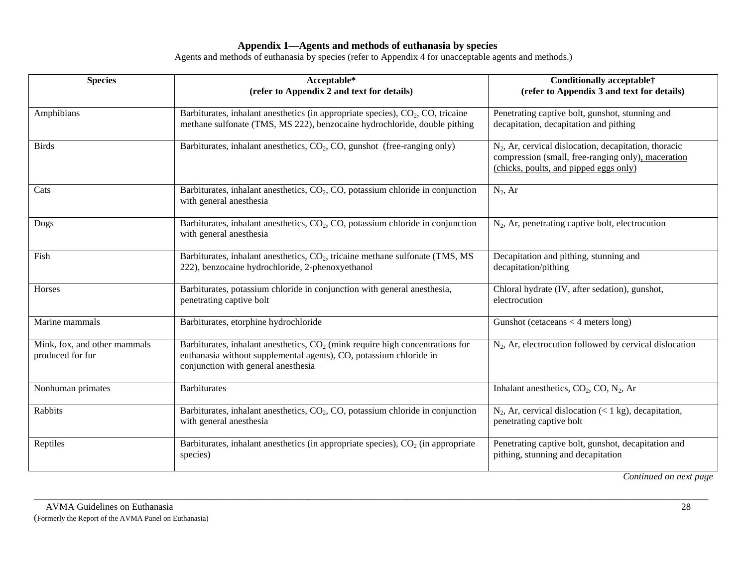### <span id="page-30-0"></span>**Appendix 1—Agents and methods of euthanasia by species**

Agents and methods of euthanasia by species (refer to Appendix 4 for unacceptable agents and methods.)

| <b>Species</b>                                   | Acceptable*<br>(refer to Appendix 2 and text for details)                                                                                                                                                                                   | Conditionally acceptable†<br>(refer to Appendix 3 and text for details)                   |
|--------------------------------------------------|---------------------------------------------------------------------------------------------------------------------------------------------------------------------------------------------------------------------------------------------|-------------------------------------------------------------------------------------------|
| Amphibians                                       | Barbiturates, inhalant anesthetics (in appropriate species), $CO2$ , $CO3$ , tricaine<br>methane sulfonate (TMS, MS 222), benzocaine hydrochloride, double pithing                                                                          | Penetrating captive bolt, gunshot, stunning and<br>decapitation, decapitation and pithing |
| <b>Birds</b>                                     | Barbiturates, inhalant anesthetics, $CO2$ , $CO2$ , gunshot (free-ranging only)<br>$N_2$ , Ar, cervical dislocation, decapitation, thoracic<br>compression (small, free-ranging only), maceration<br>(chicks, poults, and pipped eggs only) |                                                                                           |
| Cats                                             | Barbiturates, inhalant anesthetics, $CO2$ , $CO2$ , potassium chloride in conjunction<br>with general anesthesia                                                                                                                            | $N_2$ , Ar                                                                                |
| Dogs                                             | Barbiturates, inhalant anesthetics, $CO2$ , $CO2$ , potassium chloride in conjunction<br>with general anesthesia                                                                                                                            | $N_2$ , Ar, penetrating captive bolt, electrocution                                       |
| Fish                                             | Barbiturates, inhalant anesthetics, CO <sub>2</sub> , tricaine methane sulfonate (TMS, MS)<br>222), benzocaine hydrochloride, 2-phenoxyethanol                                                                                              | Decapitation and pithing, stunning and<br>decapitation/pithing                            |
| Horses                                           | Barbiturates, potassium chloride in conjunction with general anesthesia,<br>penetrating captive bolt                                                                                                                                        | Chloral hydrate (IV, after sedation), gunshot,<br>electrocution                           |
| Marine mammals                                   | Barbiturates, etorphine hydrochloride                                                                                                                                                                                                       | Gunshot (cetaceans $<$ 4 meters long)                                                     |
| Mink, fox, and other mammals<br>produced for fur | Barbiturates, inhalant anesthetics, $CO2$ (mink require high concentrations for<br>euthanasia without supplemental agents), CO, potassium chloride in<br>conjunction with general anesthesia                                                | $N_2$ , Ar, electrocution followed by cervical dislocation                                |
| Nonhuman primates                                | <b>Barbiturates</b>                                                                                                                                                                                                                         | Inhalant anesthetics, $CO_2$ , $CO$ , $N_2$ , Ar                                          |
| Rabbits                                          | Barbiturates, inhalant anesthetics, $CO2$ , $CO2$ , potassium chloride in conjunction<br>with general anesthesia                                                                                                                            | $N_2$ , Ar, cervical dislocation (< 1 kg), decapitation,<br>penetrating captive bolt      |
| Reptiles                                         | Barbiturates, inhalant anesthetics (in appropriate species), $CO2$ (in appropriate<br>species)                                                                                                                                              | Penetrating captive bolt, gunshot, decapitation and<br>pithing, stunning and decapitation |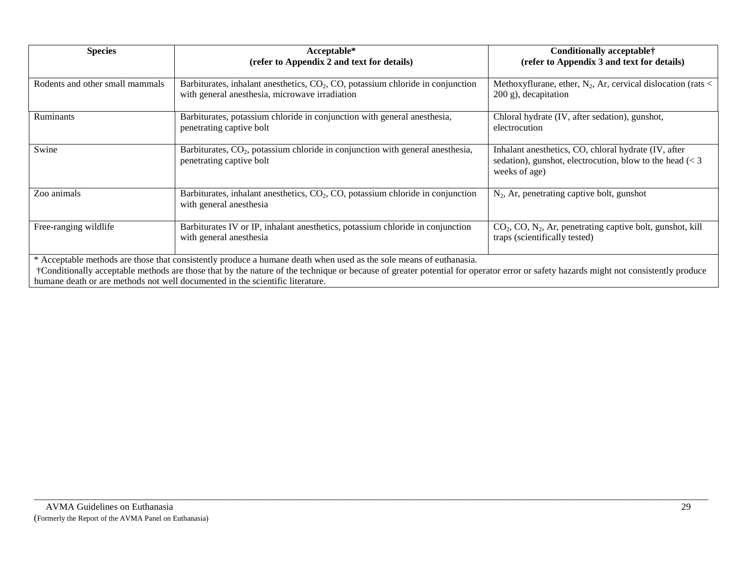| <b>Species</b>                  | Acceptable*<br>(refer to Appendix 2 and text for details)                                                                                                                                                                                                                                                                                                                                  | Conditionally acceptable†<br>(refer to Appendix 3 and text for details)                                                                                  |
|---------------------------------|--------------------------------------------------------------------------------------------------------------------------------------------------------------------------------------------------------------------------------------------------------------------------------------------------------------------------------------------------------------------------------------------|----------------------------------------------------------------------------------------------------------------------------------------------------------|
| Rodents and other small mammals | Barbiturates, inhalant anesthetics, $CO2$ , $CO2$ , potassium chloride in conjunction<br>with general anesthesia, microwave irradiation                                                                                                                                                                                                                                                    | Methoxyflurane, ether, $N_2$ , Ar, cervical dislocation (rats $\lt$<br>200 g), decapitation                                                              |
| <b>Ruminants</b>                | Barbiturates, potassium chloride in conjunction with general anesthesia,<br>penetrating captive bolt                                                                                                                                                                                                                                                                                       | Chloral hydrate (IV, after sedation), gunshot,<br>electrocution                                                                                          |
| Swine                           | Barbiturates, $CO2$ , potassium chloride in conjunction with general anesthesia,<br>penetrating captive bolt                                                                                                                                                                                                                                                                               | Inhalant anesthetics, CO, chloral hydrate (IV, after<br>sedation), gunshot, electrocution, blow to the head $\langle \langle 3 \rangle$<br>weeks of age) |
| Zoo animals                     | Barbiturates, inhalant anesthetics, $CO2$ , $CO2$ , potassium chloride in conjunction<br>with general anesthesia                                                                                                                                                                                                                                                                           | $N_2$ , Ar, penetrating captive bolt, gunshot                                                                                                            |
| Free-ranging wildlife           | Barbiturates IV or IP, inhalant anesthetics, potassium chloride in conjunction<br>with general anesthesia                                                                                                                                                                                                                                                                                  | $CO2, CO, N2, Ar, penetrating capture bolt, gunshot, kill$<br>traps (scientifically tested)                                                              |
|                                 | * Acceptable methods are those that consistently produce a humane death when used as the sole means of euthanasia.<br>†Conditionally acceptable methods are those that by the nature of the technique or because of greater potential for operator error or safety hazards might not consistently produce<br>humane death or are methods not well documented in the scientific literature. |                                                                                                                                                          |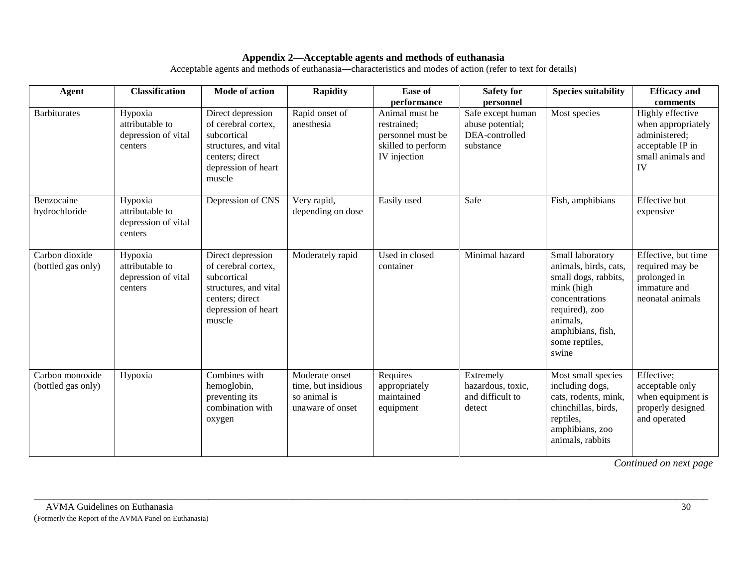## <span id="page-32-0"></span>**Appendix 2—Acceptable agents and methods of euthanasia**

Acceptable agents and methods of euthanasia—characteristics and modes of action (refer to text for details)

| <b>Agent</b>                          | <b>Classification</b>                                        | Mode of action                                                                                                                       | <b>Rapidity</b>                                                           | Ease of<br>performance                                                                   | <b>Safety for</b><br>personnel                                       | <b>Species suitability</b>                                                                                                                                                      | <b>Efficacy</b> and<br>comments                                                                        |
|---------------------------------------|--------------------------------------------------------------|--------------------------------------------------------------------------------------------------------------------------------------|---------------------------------------------------------------------------|------------------------------------------------------------------------------------------|----------------------------------------------------------------------|---------------------------------------------------------------------------------------------------------------------------------------------------------------------------------|--------------------------------------------------------------------------------------------------------|
| <b>Barbiturates</b>                   | Hypoxia<br>attributable to<br>depression of vital<br>centers | Direct depression<br>of cerebral cortex,<br>subcortical<br>structures, and vital<br>centers; direct<br>depression of heart<br>muscle | Rapid onset of<br>anesthesia                                              | Animal must be<br>restrained;<br>personnel must be<br>skilled to perform<br>IV injection | Safe except human<br>abuse potential;<br>DEA-controlled<br>substance | Most species                                                                                                                                                                    | Highly effective<br>when appropriately<br>administered;<br>acceptable IP in<br>small animals and<br>IV |
| Benzocaine<br>hydrochloride           | Hypoxia<br>attributable to<br>depression of vital<br>centers | Depression of CNS                                                                                                                    | Very rapid,<br>depending on dose                                          | Easily used                                                                              | Safe                                                                 | Fish, amphibians                                                                                                                                                                | <b>Effective</b> but<br>expensive                                                                      |
| Carbon dioxide<br>(bottled gas only)  | Hypoxia<br>attributable to<br>depression of vital<br>centers | Direct depression<br>of cerebral cortex,<br>subcortical<br>structures, and vital<br>centers; direct<br>depression of heart<br>muscle | Moderately rapid                                                          | Used in closed<br>container                                                              | Minimal hazard                                                       | Small laboratory<br>animals, birds, cats,<br>small dogs, rabbits,<br>mink (high<br>concentrations<br>required), zoo<br>animals,<br>amphibians, fish,<br>some reptiles,<br>swine | Effective, but time<br>required may be<br>prolonged in<br>immature and<br>neonatal animals             |
| Carbon monoxide<br>(bottled gas only) | Hypoxia                                                      | Combines with<br>hemoglobin,<br>preventing its<br>combination with<br>oxygen                                                         | Moderate onset<br>time, but insidious<br>so animal is<br>unaware of onset | Requires<br>appropriately<br>maintained<br>equipment                                     | Extremely<br>hazardous, toxic,<br>and difficult to<br>detect         | Most small species<br>including dogs,<br>cats, rodents, mink,<br>chinchillas, birds,<br>reptiles,<br>amphibians, zoo<br>animals, rabbits                                        | Effective;<br>acceptable only<br>when equipment is<br>properly designed<br>and operated                |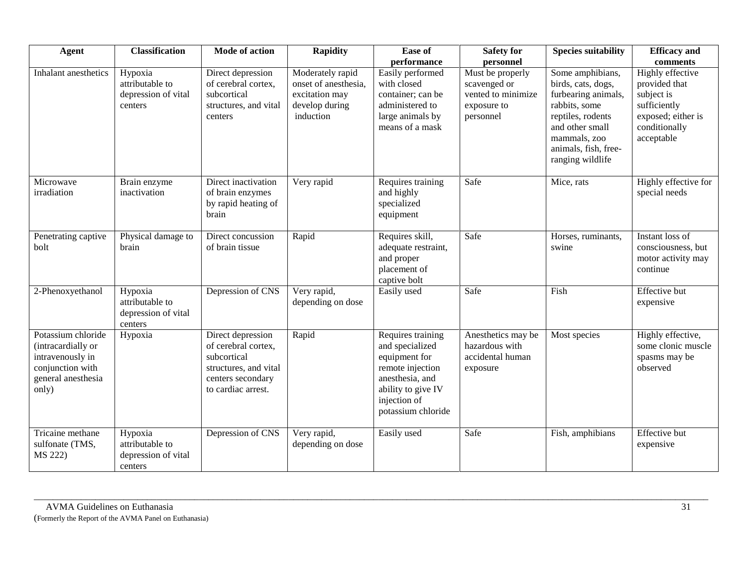| Agent                                                                                                           | <b>Classification</b>                                        | Mode of action                                                                                                              | <b>Rapidity</b>                                                                           | Ease of<br>performance                                                                                                                                   | <b>Safety for</b><br>personnel                                                     | <b>Species suitability</b>                                                                                                                                                         | <b>Efficacy</b> and<br>comments                                                                                      |
|-----------------------------------------------------------------------------------------------------------------|--------------------------------------------------------------|-----------------------------------------------------------------------------------------------------------------------------|-------------------------------------------------------------------------------------------|----------------------------------------------------------------------------------------------------------------------------------------------------------|------------------------------------------------------------------------------------|------------------------------------------------------------------------------------------------------------------------------------------------------------------------------------|----------------------------------------------------------------------------------------------------------------------|
| Inhalant anesthetics                                                                                            | Hypoxia<br>attributable to<br>depression of vital<br>centers | Direct depression<br>of cerebral cortex,<br>subcortical<br>structures, and vital<br>centers                                 | Moderately rapid<br>onset of anesthesia,<br>excitation may<br>develop during<br>induction | Easily performed<br>with closed<br>container; can be<br>administered to<br>large animals by<br>means of a mask                                           | Must be properly<br>scavenged or<br>vented to minimize<br>exposure to<br>personnel | Some amphibians,<br>birds, cats, dogs,<br>furbearing animals,<br>rabbits, some<br>reptiles, rodents<br>and other small<br>mammals, zoo<br>animals, fish, free-<br>ranging wildlife | Highly effective<br>provided that<br>subject is<br>sufficiently<br>exposed; either is<br>conditionally<br>acceptable |
| Microwave<br>irradiation                                                                                        | Brain enzyme<br>inactivation                                 | Direct inactivation<br>of brain enzymes<br>by rapid heating of<br>brain                                                     | Very rapid                                                                                | Requires training<br>and highly<br>specialized<br>equipment                                                                                              | Safe                                                                               | Mice, rats                                                                                                                                                                         | Highly effective for<br>special needs                                                                                |
| Penetrating captive<br>bolt                                                                                     | Physical damage to<br>brain                                  | Direct concussion<br>of brain tissue                                                                                        | Rapid                                                                                     | Requires skill,<br>adequate restraint,<br>and proper<br>placement of<br>captive bolt                                                                     | Safe                                                                               | Horses, ruminants,<br>swine                                                                                                                                                        | Instant loss of<br>consciousness, but<br>motor activity may<br>continue                                              |
| 2-Phenoxyethanol                                                                                                | Hypoxia<br>attributable to<br>depression of vital<br>centers | Depression of CNS                                                                                                           | Very rapid,<br>depending on dose                                                          | Easily used                                                                                                                                              | Safe                                                                               | Fish                                                                                                                                                                               | Effective but<br>expensive                                                                                           |
| Potassium chloride<br>(intracardially or<br>intravenously in<br>conjunction with<br>general anesthesia<br>only) | Hypoxia                                                      | Direct depression<br>of cerebral cortex,<br>subcortical<br>structures, and vital<br>centers secondary<br>to cardiac arrest. | Rapid                                                                                     | Requires training<br>and specialized<br>equipment for<br>remote injection<br>anesthesia, and<br>ability to give IV<br>injection of<br>potassium chloride | Anesthetics may be<br>hazardous with<br>accidental human<br>exposure               | Most species                                                                                                                                                                       | Highly effective,<br>some clonic muscle<br>spasms may be<br>observed                                                 |
| Tricaine methane<br>sulfonate (TMS,<br>MS 222)                                                                  | Hypoxia<br>attributable to<br>depression of vital<br>centers | Depression of CNS                                                                                                           | Very rapid,<br>depending on dose                                                          | Easily used                                                                                                                                              | Safe                                                                               | Fish, amphibians                                                                                                                                                                   | <b>Effective but</b><br>expensive                                                                                    |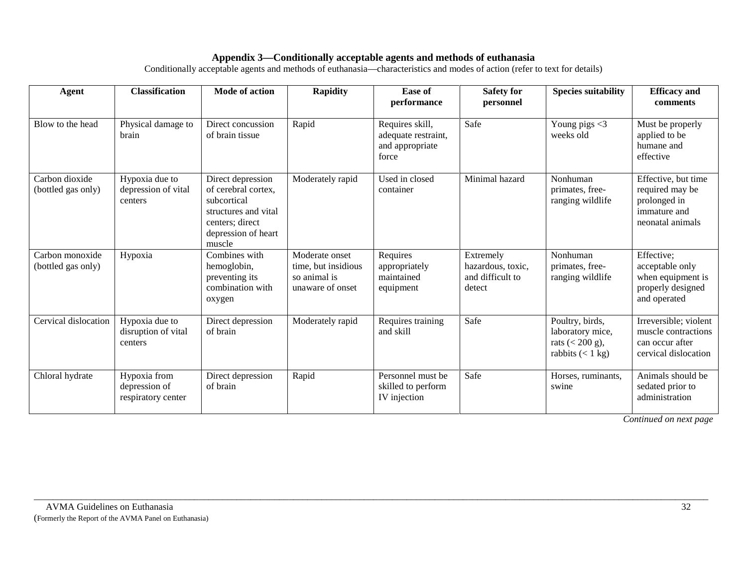## <span id="page-34-0"></span>**Appendix 3—Conditionally acceptable agents and methods of euthanasia**

Conditionally acceptable agents and methods of euthanasia—characteristics and modes of action (refer to text for details)

| Agent                                 | <b>Classification</b>                               | Mode of action                                                                                                                      | <b>Rapidity</b>                                                           | Ease of<br>performance                                             | <b>Safety for</b><br>personnel                               | <b>Species suitability</b>                                                                      | <b>Efficacy</b> and<br>comments                                                            |
|---------------------------------------|-----------------------------------------------------|-------------------------------------------------------------------------------------------------------------------------------------|---------------------------------------------------------------------------|--------------------------------------------------------------------|--------------------------------------------------------------|-------------------------------------------------------------------------------------------------|--------------------------------------------------------------------------------------------|
| Blow to the head                      | Physical damage to<br>brain                         | Direct concussion<br>of brain tissue                                                                                                | Rapid                                                                     | Requires skill,<br>adequate restraint,<br>and appropriate<br>force | Safe                                                         | Young pigs $<$ 3<br>weeks old                                                                   | Must be properly<br>applied to be<br>humane and<br>effective                               |
| Carbon dioxide<br>(bottled gas only)  | Hypoxia due to<br>depression of vital<br>centers    | Direct depression<br>of cerebral cortex,<br>subcortical<br>structures and vital<br>centers; direct<br>depression of heart<br>muscle | Moderately rapid                                                          | Used in closed<br>container                                        | Minimal hazard                                               | Nonhuman<br>primates, free-<br>ranging wildlife                                                 | Effective, but time<br>required may be<br>prolonged in<br>immature and<br>neonatal animals |
| Carbon monoxide<br>(bottled gas only) | Hypoxia                                             | Combines with<br>hemoglobin,<br>preventing its<br>combination with<br>oxygen                                                        | Moderate onset<br>time, but insidious<br>so animal is<br>unaware of onset | Requires<br>appropriately<br>maintained<br>equipment               | Extremely<br>hazardous, toxic,<br>and difficult to<br>detect | Nonhuman<br>primates, free-<br>ranging wildlife                                                 | Effective;<br>acceptable only<br>when equipment is<br>properly designed<br>and operated    |
| Cervical dislocation                  | Hypoxia due to<br>disruption of vital<br>centers    | Direct depression<br>of brain                                                                                                       | Moderately rapid                                                          | Requires training<br>and skill                                     | Safe                                                         | Poultry, birds,<br>laboratory mice,<br>rats $(< 200 \text{ g})$ ,<br>rabbits $(< 1 \text{ kg})$ | Irreversible; violent<br>muscle contractions<br>can occur after<br>cervical dislocation    |
| Chloral hydrate                       | Hypoxia from<br>depression of<br>respiratory center | Direct depression<br>of brain                                                                                                       | Rapid                                                                     | Personnel must be<br>skilled to perform<br>IV injection            | Safe                                                         | Horses, ruminants,<br>swine                                                                     | Animals should be<br>sedated prior to<br>administration                                    |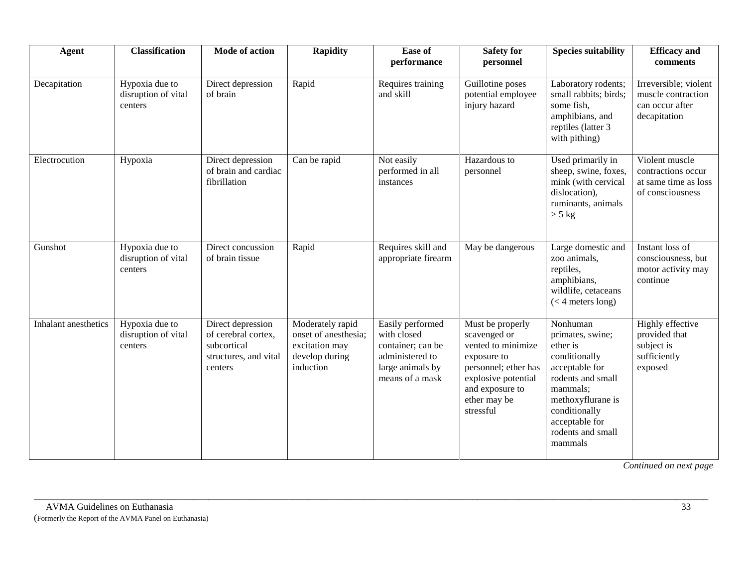| <b>Agent</b>         | <b>Classification</b>                            | <b>Mode of action</b>                                                                       | <b>Rapidity</b>                                                                           | <b>Ease of</b><br>performance                                                                                  | <b>Safety for</b><br>personnel                                                                                                                                       | <b>Species suitability</b>                                                                                                                                                                           | <b>Efficacy</b> and<br>comments                                                  |
|----------------------|--------------------------------------------------|---------------------------------------------------------------------------------------------|-------------------------------------------------------------------------------------------|----------------------------------------------------------------------------------------------------------------|----------------------------------------------------------------------------------------------------------------------------------------------------------------------|------------------------------------------------------------------------------------------------------------------------------------------------------------------------------------------------------|----------------------------------------------------------------------------------|
| Decapitation         | Hypoxia due to<br>disruption of vital<br>centers | Direct depression<br>of brain                                                               | Rapid                                                                                     | Requires training<br>and skill                                                                                 | Guillotine poses<br>potential employee<br>injury hazard                                                                                                              | Laboratory rodents;<br>small rabbits; birds;<br>some fish,<br>amphibians, and<br>reptiles (latter 3<br>with pithing)                                                                                 | Irreversible; violent<br>muscle contraction<br>can occur after<br>decapitation   |
| Electrocution        | Hypoxia                                          | Direct depression<br>of brain and cardiac<br>fibrillation                                   | Can be rapid                                                                              | Not easily<br>performed in all<br>instances                                                                    | Hazardous to<br>personnel                                                                                                                                            | Used primarily in<br>sheep, swine, foxes,<br>mink (with cervical<br>dislocation),<br>ruminants, animals<br>$> 5$ kg                                                                                  | Violent muscle<br>contractions occur<br>at same time as loss<br>of consciousness |
| Gunshot              | Hypoxia due to<br>disruption of vital<br>centers | Direct concussion<br>of brain tissue                                                        | Rapid                                                                                     | Requires skill and<br>appropriate firearm                                                                      | May be dangerous                                                                                                                                                     | Large domestic and<br>zoo animals,<br>reptiles,<br>amphibians,<br>wildlife, cetaceans<br>$(< 4$ meters long)                                                                                         | Instant loss of<br>consciousness, but<br>motor activity may<br>continue          |
| Inhalant anesthetics | Hypoxia due to<br>disruption of vital<br>centers | Direct depression<br>of cerebral cortex,<br>subcortical<br>structures, and vital<br>centers | Moderately rapid<br>onset of anesthesia;<br>excitation may<br>develop during<br>induction | Easily performed<br>with closed<br>container; can be<br>administered to<br>large animals by<br>means of a mask | Must be properly<br>scavenged or<br>vented to minimize<br>exposure to<br>personnel; ether has<br>explosive potential<br>and exposure to<br>ether may be<br>stressful | Nonhuman<br>primates, swine;<br>ether is<br>conditionally<br>acceptable for<br>rodents and small<br>mammals;<br>methoxyflurane is<br>conditionally<br>acceptable for<br>rodents and small<br>mammals | Highly effective<br>provided that<br>subject is<br>sufficiently<br>exposed       |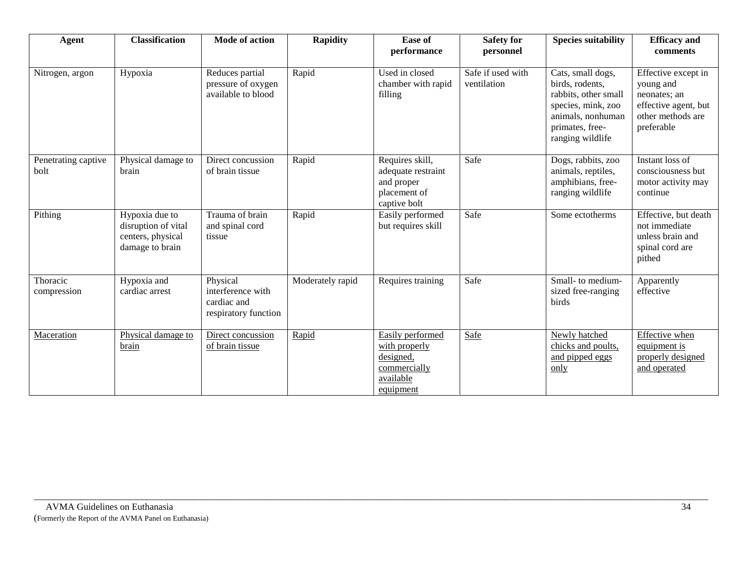| <b>Agent</b>                | <b>Classification</b>                                                         | <b>Mode of action</b>                                                | <b>Rapidity</b>  | Ease of<br>performance                                                                          | <b>Safety for</b><br>personnel   | <b>Species suitability</b>                                                                                                                     | <b>Efficacy</b> and<br>comments                                                                             |
|-----------------------------|-------------------------------------------------------------------------------|----------------------------------------------------------------------|------------------|-------------------------------------------------------------------------------------------------|----------------------------------|------------------------------------------------------------------------------------------------------------------------------------------------|-------------------------------------------------------------------------------------------------------------|
| Nitrogen, argon             | Hypoxia                                                                       | Reduces partial<br>pressure of oxygen<br>available to blood          | Rapid            | Used in closed<br>chamber with rapid<br>filling                                                 | Safe if used with<br>ventilation | Cats, small dogs,<br>birds, rodents,<br>rabbits, other small<br>species, mink, zoo<br>animals, nonhuman<br>primates, free-<br>ranging wildlife | Effective except in<br>young and<br>neonates; an<br>effective agent, but<br>other methods are<br>preferable |
| Penetrating captive<br>bolt | Physical damage to<br>brain                                                   | Direct concussion<br>of brain tissue                                 | Rapid            | Requires skill,<br>adequate restraint<br>and proper<br>placement of<br>captive bolt             | Safe                             | Dogs, rabbits, zoo<br>animals, reptiles,<br>amphibians, free-<br>ranging wildlife                                                              | Instant loss of<br>consciousness but<br>motor activity may<br>continue                                      |
| Pithing                     | Hypoxia due to<br>disruption of vital<br>centers, physical<br>damage to brain | Trauma of brain<br>and spinal cord<br>tissue                         | Rapid            | Easily performed<br>but requires skill                                                          | Safe                             | Some ectotherms                                                                                                                                | Effective, but death<br>not immediate<br>unless brain and<br>spinal cord are<br>pithed                      |
| Thoracic<br>compression     | Hypoxia and<br>cardiac arrest                                                 | Physical<br>interference with<br>cardiac and<br>respiratory function | Moderately rapid | Requires training                                                                               | Safe                             | Small- to medium-<br>sized free-ranging<br>birds                                                                                               | Apparently<br>effective                                                                                     |
| Maceration                  | Physical damage to<br>brain                                                   | Direct concussion<br>of brain tissue                                 | Rapid            | <b>Easily performed</b><br>with properly<br>designed,<br>commercially<br>available<br>equipment | Safe                             | Newly hatched<br>chicks and poults,<br>and pipped eggs<br>only                                                                                 | Effective when<br>equipment is<br>properly designed<br>and operated                                         |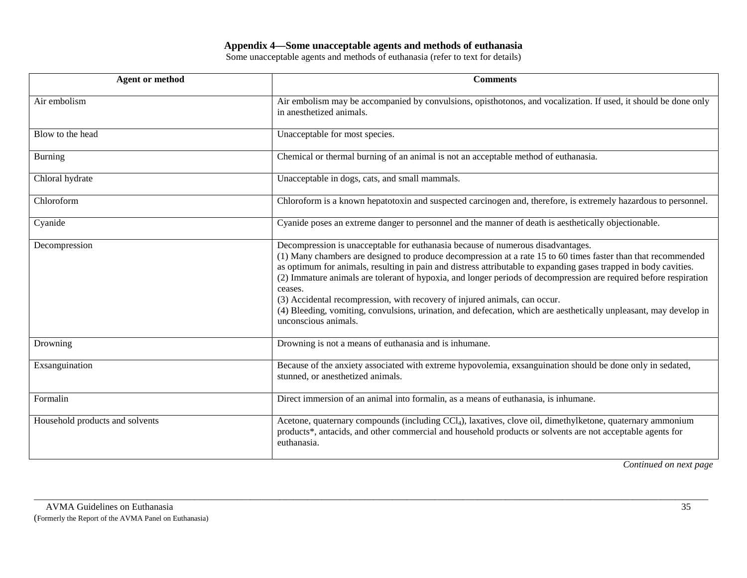#### **Appendix 4—Some unacceptable agents and methods of euthanasia**

<span id="page-37-0"></span>Some unacceptable agents and methods of euthanasia (refer to text for details)

| <b>Agent or method</b>          | <b>Comments</b>                                                                                                                                                                                                                                                                                                                                                                                                                                                                                                                                                                                                                                                                  |
|---------------------------------|----------------------------------------------------------------------------------------------------------------------------------------------------------------------------------------------------------------------------------------------------------------------------------------------------------------------------------------------------------------------------------------------------------------------------------------------------------------------------------------------------------------------------------------------------------------------------------------------------------------------------------------------------------------------------------|
| Air embolism                    | Air embolism may be accompanied by convulsions, opisthotonos, and vocalization. If used, it should be done only<br>in anesthetized animals.                                                                                                                                                                                                                                                                                                                                                                                                                                                                                                                                      |
| Blow to the head                | Unacceptable for most species.                                                                                                                                                                                                                                                                                                                                                                                                                                                                                                                                                                                                                                                   |
| Burning                         | Chemical or thermal burning of an animal is not an acceptable method of euthanasia.                                                                                                                                                                                                                                                                                                                                                                                                                                                                                                                                                                                              |
| Chloral hydrate                 | Unacceptable in dogs, cats, and small mammals.                                                                                                                                                                                                                                                                                                                                                                                                                                                                                                                                                                                                                                   |
| Chloroform                      | Chloroform is a known hepatotoxin and suspected carcinogen and, therefore, is extremely hazardous to personnel.                                                                                                                                                                                                                                                                                                                                                                                                                                                                                                                                                                  |
| Cyanide                         | Cyanide poses an extreme danger to personnel and the manner of death is aesthetically objectionable.                                                                                                                                                                                                                                                                                                                                                                                                                                                                                                                                                                             |
| Decompression                   | Decompression is unacceptable for euthanasia because of numerous disadvantages.<br>(1) Many chambers are designed to produce decompression at a rate 15 to 60 times faster than that recommended<br>as optimum for animals, resulting in pain and distress attributable to expanding gases trapped in body cavities.<br>(2) Immature animals are tolerant of hypoxia, and longer periods of decompression are required before respiration<br>ceases.<br>(3) Accidental recompression, with recovery of injured animals, can occur.<br>(4) Bleeding, vomiting, convulsions, urination, and defecation, which are aesthetically unpleasant, may develop in<br>unconscious animals. |
| Drowning                        | Drowning is not a means of euthanasia and is inhumane.                                                                                                                                                                                                                                                                                                                                                                                                                                                                                                                                                                                                                           |
| Exsanguination                  | Because of the anxiety associated with extreme hypovolemia, exsanguination should be done only in sedated,<br>stunned, or anesthetized animals.                                                                                                                                                                                                                                                                                                                                                                                                                                                                                                                                  |
| Formalin                        | Direct immersion of an animal into formalin, as a means of euthanasia, is inhumane.                                                                                                                                                                                                                                                                                                                                                                                                                                                                                                                                                                                              |
| Household products and solvents | Acetone, quaternary compounds (including CCl <sub>4</sub> ), laxatives, clove oil, dimethylketone, quaternary ammonium<br>products*, antacids, and other commercial and household products or solvents are not acceptable agents for<br>euthanasia.                                                                                                                                                                                                                                                                                                                                                                                                                              |